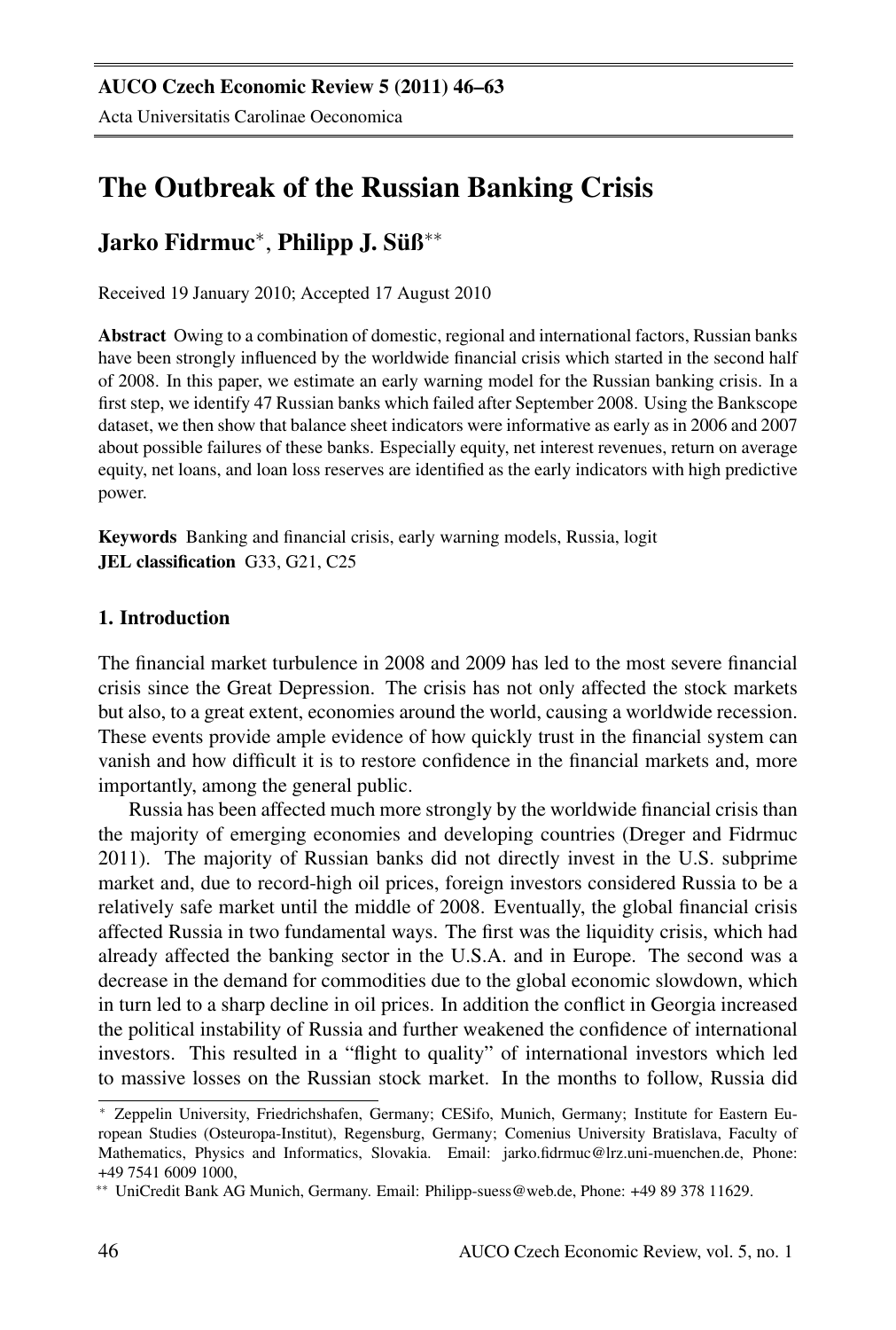# The Outbreak of the Russian Banking Crisis

## Jarko Fidrmuc<sup>∗</sup>, Philipp J. Süß<mark>\*</mark>\*

Received 19 January 2010; Accepted 17 August 2010

Abstract Owing to a combination of domestic, regional and international factors, Russian banks have been strongly influenced by the worldwide financial crisis which started in the second half of 2008. In this paper, we estimate an early warning model for the Russian banking crisis. In a first step, we identify 47 Russian banks which failed after September 2008. Using the Bankscope dataset, we then show that balance sheet indicators were informative as early as in 2006 and 2007 about possible failures of these banks. Especially equity, net interest revenues, return on average equity, net loans, and loan loss reserves are identified as the early indicators with high predictive power.

Keywords Banking and financial crisis, early warning models, Russia, logit JEL classification G33, G21, C25

## 1. Introduction

The financial market turbulence in 2008 and 2009 has led to the most severe financial crisis since the Great Depression. The crisis has not only affected the stock markets but also, to a great extent, economies around the world, causing a worldwide recession. These events provide ample evidence of how quickly trust in the financial system can vanish and how difficult it is to restore confidence in the financial markets and, more importantly, among the general public.

Russia has been affected much more strongly by the worldwide financial crisis than the majority of emerging economies and developing countries (Dreger and Fidrmuc 2011). The majority of Russian banks did not directly invest in the U.S. subprime market and, due to record-high oil prices, foreign investors considered Russia to be a relatively safe market until the middle of 2008. Eventually, the global financial crisis affected Russia in two fundamental ways. The first was the liquidity crisis, which had already affected the banking sector in the U.S.A. and in Europe. The second was a decrease in the demand for commodities due to the global economic slowdown, which in turn led to a sharp decline in oil prices. In addition the conflict in Georgia increased the political instability of Russia and further weakened the confidence of international investors. This resulted in a "flight to quality" of international investors which led to massive losses on the Russian stock market. In the months to follow, Russia did

<sup>∗</sup> Zeppelin University, Friedrichshafen, Germany; CESifo, Munich, Germany; Institute for Eastern European Studies (Osteuropa-Institut), Regensburg, Germany; Comenius University Bratislava, Faculty of Mathematics, Physics and Informatics, Slovakia. Email: jarko.fidrmuc@lrz.uni-muenchen.de, Phone: +49 7541 6009 1000,

<sup>∗∗</sup> UniCredit Bank AG Munich, Germany. Email: Philipp-suess@web.de, Phone: +49 89 378 11629.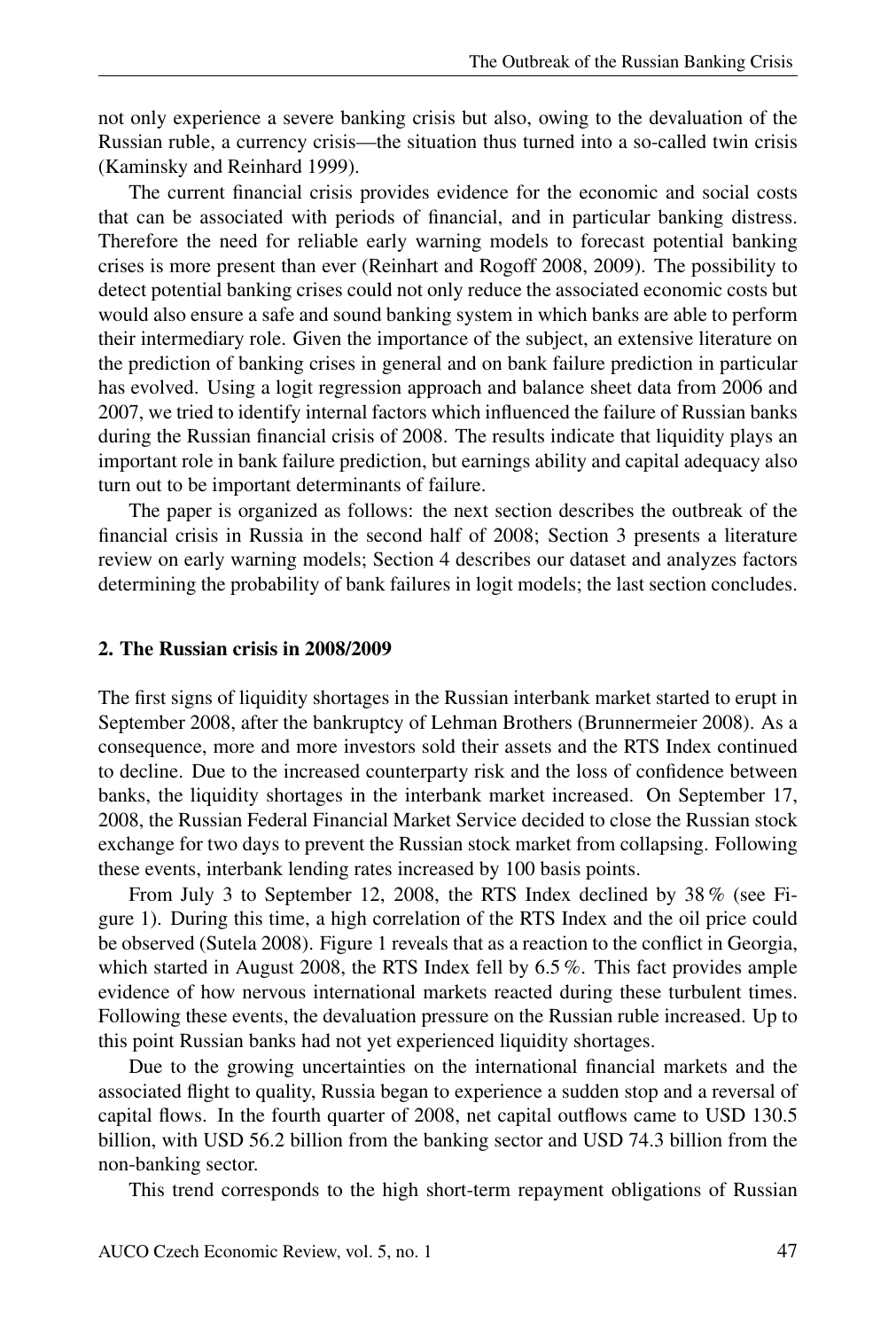not only experience a severe banking crisis but also, owing to the devaluation of the Russian ruble, a currency crisis—the situation thus turned into a so-called twin crisis (Kaminsky and Reinhard 1999).

The current financial crisis provides evidence for the economic and social costs that can be associated with periods of financial, and in particular banking distress. Therefore the need for reliable early warning models to forecast potential banking crises is more present than ever (Reinhart and Rogoff 2008, 2009). The possibility to detect potential banking crises could not only reduce the associated economic costs but would also ensure a safe and sound banking system in which banks are able to perform their intermediary role. Given the importance of the subject, an extensive literature on the prediction of banking crises in general and on bank failure prediction in particular has evolved. Using a logit regression approach and balance sheet data from 2006 and 2007, we tried to identify internal factors which influenced the failure of Russian banks during the Russian financial crisis of 2008. The results indicate that liquidity plays an important role in bank failure prediction, but earnings ability and capital adequacy also turn out to be important determinants of failure.

The paper is organized as follows: the next section describes the outbreak of the financial crisis in Russia in the second half of 2008; Section 3 presents a literature review on early warning models; Section 4 describes our dataset and analyzes factors determining the probability of bank failures in logit models; the last section concludes.

#### 2. The Russian crisis in 2008/2009

The first signs of liquidity shortages in the Russian interbank market started to erupt in September 2008, after the bankruptcy of Lehman Brothers (Brunnermeier 2008). As a consequence, more and more investors sold their assets and the RTS Index continued to decline. Due to the increased counterparty risk and the loss of confidence between banks, the liquidity shortages in the interbank market increased. On September 17, 2008, the Russian Federal Financial Market Service decided to close the Russian stock exchange for two days to prevent the Russian stock market from collapsing. Following these events, interbank lending rates increased by 100 basis points.

From July 3 to September 12, 2008, the RTS Index declined by 38 % (see Figure 1). During this time, a high correlation of the RTS Index and the oil price could be observed (Sutela 2008). Figure 1 reveals that as a reaction to the conflict in Georgia, which started in August 2008, the RTS Index fell by 6.5 %. This fact provides ample evidence of how nervous international markets reacted during these turbulent times. Following these events, the devaluation pressure on the Russian ruble increased. Up to this point Russian banks had not yet experienced liquidity shortages.

Due to the growing uncertainties on the international financial markets and the associated flight to quality, Russia began to experience a sudden stop and a reversal of capital flows. In the fourth quarter of 2008, net capital outflows came to USD 130.5 billion, with USD 56.2 billion from the banking sector and USD 74.3 billion from the non-banking sector.

This trend corresponds to the high short-term repayment obligations of Russian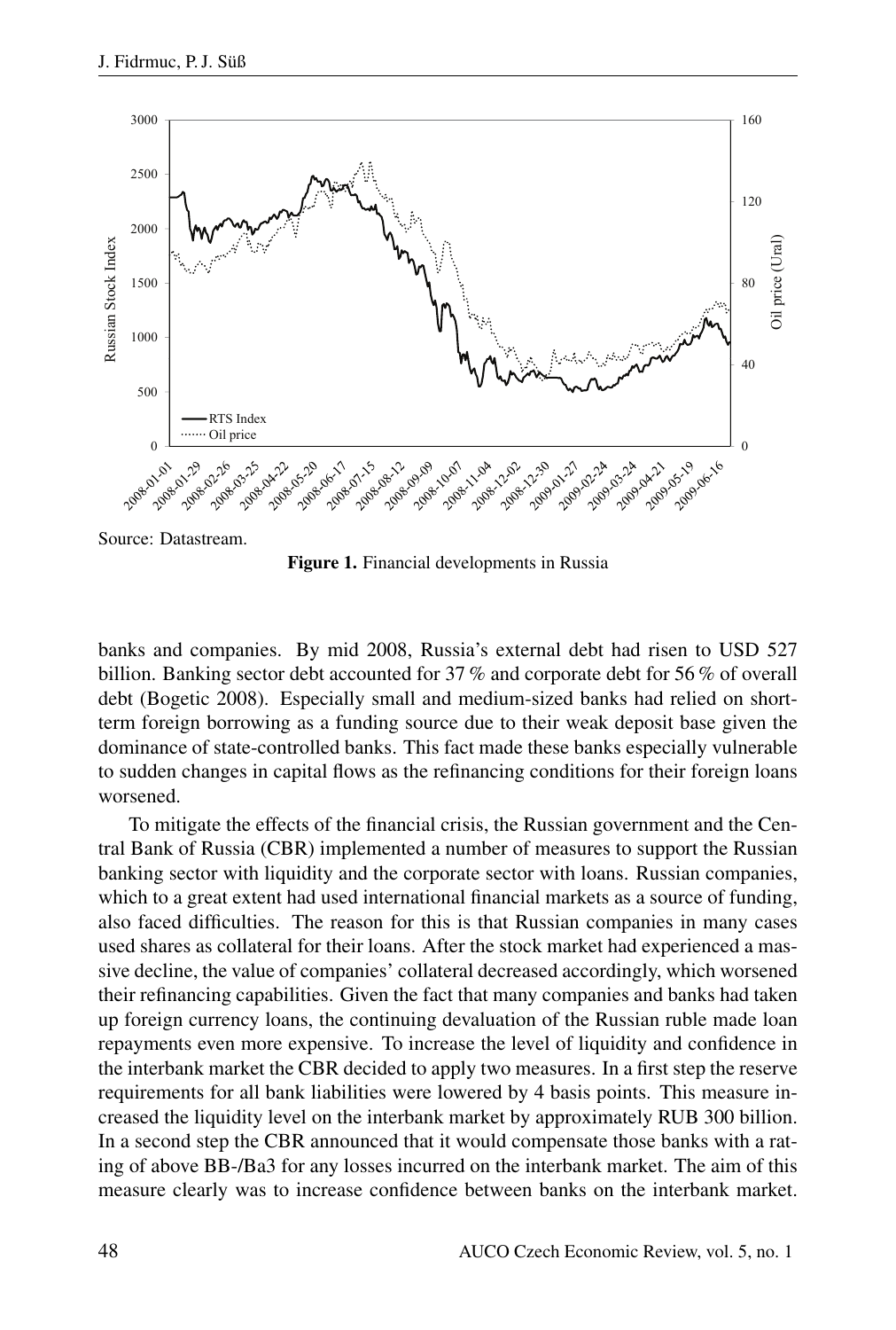

Source: Datastream.

Figure 1. Financial developments in Russia

banks and companies. By mid 2008, Russia's external debt had risen to USD 527 billion. Banking sector debt accounted for 37 % and corporate debt for 56 % of overall debt (Bogetic 2008). Especially small and medium-sized banks had relied on shortterm foreign borrowing as a funding source due to their weak deposit base given the dominance of state-controlled banks. This fact made these banks especially vulnerable to sudden changes in capital flows as the refinancing conditions for their foreign loans worsened.

To mitigate the effects of the financial crisis, the Russian government and the Central Bank of Russia (CBR) implemented a number of measures to support the Russian banking sector with liquidity and the corporate sector with loans. Russian companies, which to a great extent had used international financial markets as a source of funding, also faced difficulties. The reason for this is that Russian companies in many cases used shares as collateral for their loans. After the stock market had experienced a massive decline, the value of companies' collateral decreased accordingly, which worsened their refinancing capabilities. Given the fact that many companies and banks had taken up foreign currency loans, the continuing devaluation of the Russian ruble made loan repayments even more expensive. To increase the level of liquidity and confidence in the interbank market the CBR decided to apply two measures. In a first step the reserve requirements for all bank liabilities were lowered by 4 basis points. This measure increased the liquidity level on the interbank market by approximately RUB 300 billion. In a second step the CBR announced that it would compensate those banks with a rating of above BB-/Ba3 for any losses incurred on the interbank market. The aim of this measure clearly was to increase confidence between banks on the interbank market.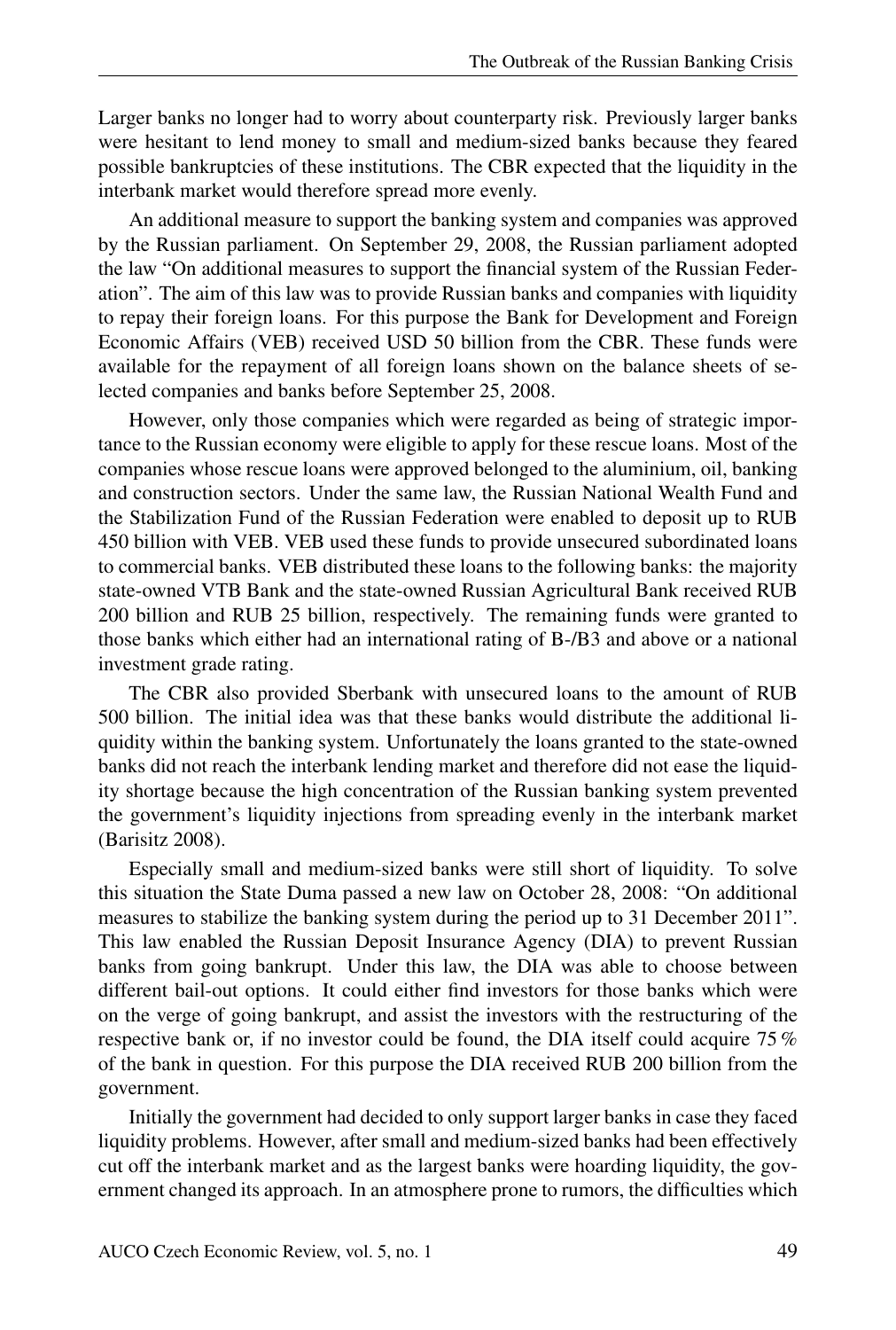Larger banks no longer had to worry about counterparty risk. Previously larger banks were hesitant to lend money to small and medium-sized banks because they feared possible bankruptcies of these institutions. The CBR expected that the liquidity in the interbank market would therefore spread more evenly.

An additional measure to support the banking system and companies was approved by the Russian parliament. On September 29, 2008, the Russian parliament adopted the law "On additional measures to support the financial system of the Russian Federation". The aim of this law was to provide Russian banks and companies with liquidity to repay their foreign loans. For this purpose the Bank for Development and Foreign Economic Affairs (VEB) received USD 50 billion from the CBR. These funds were available for the repayment of all foreign loans shown on the balance sheets of selected companies and banks before September 25, 2008.

However, only those companies which were regarded as being of strategic importance to the Russian economy were eligible to apply for these rescue loans. Most of the companies whose rescue loans were approved belonged to the aluminium, oil, banking and construction sectors. Under the same law, the Russian National Wealth Fund and the Stabilization Fund of the Russian Federation were enabled to deposit up to RUB 450 billion with VEB. VEB used these funds to provide unsecured subordinated loans to commercial banks. VEB distributed these loans to the following banks: the majority state-owned VTB Bank and the state-owned Russian Agricultural Bank received RUB 200 billion and RUB 25 billion, respectively. The remaining funds were granted to those banks which either had an international rating of B-/B3 and above or a national investment grade rating.

The CBR also provided Sberbank with unsecured loans to the amount of RUB 500 billion. The initial idea was that these banks would distribute the additional liquidity within the banking system. Unfortunately the loans granted to the state-owned banks did not reach the interbank lending market and therefore did not ease the liquidity shortage because the high concentration of the Russian banking system prevented the government's liquidity injections from spreading evenly in the interbank market (Barisitz 2008).

Especially small and medium-sized banks were still short of liquidity. To solve this situation the State Duma passed a new law on October 28, 2008: "On additional measures to stabilize the banking system during the period up to 31 December 2011". This law enabled the Russian Deposit Insurance Agency (DIA) to prevent Russian banks from going bankrupt. Under this law, the DIA was able to choose between different bail-out options. It could either find investors for those banks which were on the verge of going bankrupt, and assist the investors with the restructuring of the respective bank or, if no investor could be found, the DIA itself could acquire 75 % of the bank in question. For this purpose the DIA received RUB 200 billion from the government.

Initially the government had decided to only support larger banks in case they faced liquidity problems. However, after small and medium-sized banks had been effectively cut off the interbank market and as the largest banks were hoarding liquidity, the government changed its approach. In an atmosphere prone to rumors, the difficulties which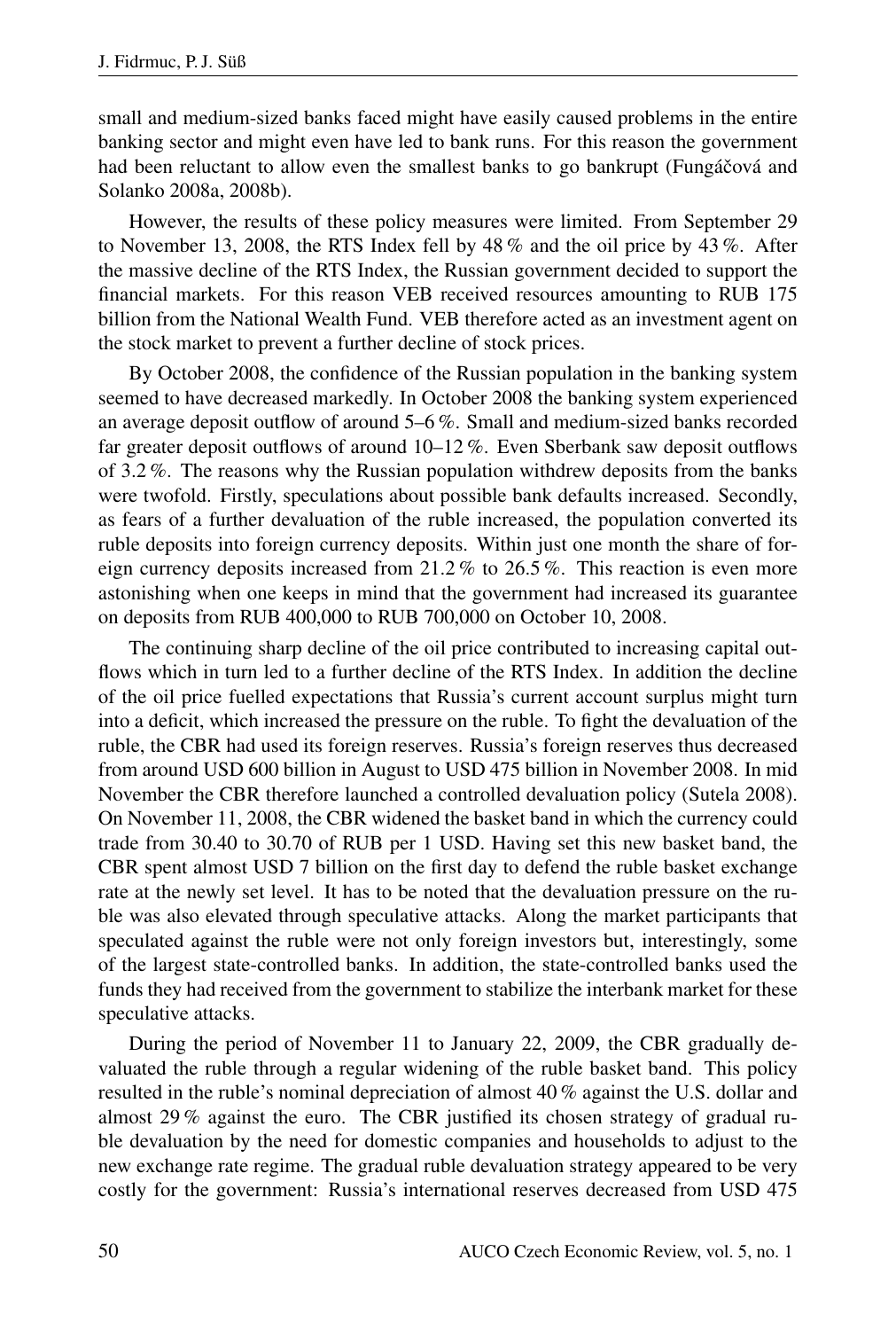small and medium-sized banks faced might have easily caused problems in the entire banking sector and might even have led to bank runs. For this reason the government had been reluctant to allow even the smallest banks to go bankrupt (Fungáčová and Solanko 2008a, 2008b).

However, the results of these policy measures were limited. From September 29 to November 13, 2008, the RTS Index fell by 48 % and the oil price by 43 %. After the massive decline of the RTS Index, the Russian government decided to support the financial markets. For this reason VEB received resources amounting to RUB 175 billion from the National Wealth Fund. VEB therefore acted as an investment agent on the stock market to prevent a further decline of stock prices.

By October 2008, the confidence of the Russian population in the banking system seemed to have decreased markedly. In October 2008 the banking system experienced an average deposit outflow of around 5–6 %. Small and medium-sized banks recorded far greater deposit outflows of around 10–12 %. Even Sberbank saw deposit outflows of 3.2 %. The reasons why the Russian population withdrew deposits from the banks were twofold. Firstly, speculations about possible bank defaults increased. Secondly, as fears of a further devaluation of the ruble increased, the population converted its ruble deposits into foreign currency deposits. Within just one month the share of foreign currency deposits increased from 21.2 % to 26.5 %. This reaction is even more astonishing when one keeps in mind that the government had increased its guarantee on deposits from RUB 400,000 to RUB 700,000 on October 10, 2008.

The continuing sharp decline of the oil price contributed to increasing capital outflows which in turn led to a further decline of the RTS Index. In addition the decline of the oil price fuelled expectations that Russia's current account surplus might turn into a deficit, which increased the pressure on the ruble. To fight the devaluation of the ruble, the CBR had used its foreign reserves. Russia's foreign reserves thus decreased from around USD 600 billion in August to USD 475 billion in November 2008. In mid November the CBR therefore launched a controlled devaluation policy (Sutela 2008). On November 11, 2008, the CBR widened the basket band in which the currency could trade from 30.40 to 30.70 of RUB per 1 USD. Having set this new basket band, the CBR spent almost USD 7 billion on the first day to defend the ruble basket exchange rate at the newly set level. It has to be noted that the devaluation pressure on the ruble was also elevated through speculative attacks. Along the market participants that speculated against the ruble were not only foreign investors but, interestingly, some of the largest state-controlled banks. In addition, the state-controlled banks used the funds they had received from the government to stabilize the interbank market for these speculative attacks.

During the period of November 11 to January 22, 2009, the CBR gradually devaluated the ruble through a regular widening of the ruble basket band. This policy resulted in the ruble's nominal depreciation of almost 40 % against the U.S. dollar and almost 29 % against the euro. The CBR justified its chosen strategy of gradual ruble devaluation by the need for domestic companies and households to adjust to the new exchange rate regime. The gradual ruble devaluation strategy appeared to be very costly for the government: Russia's international reserves decreased from USD 475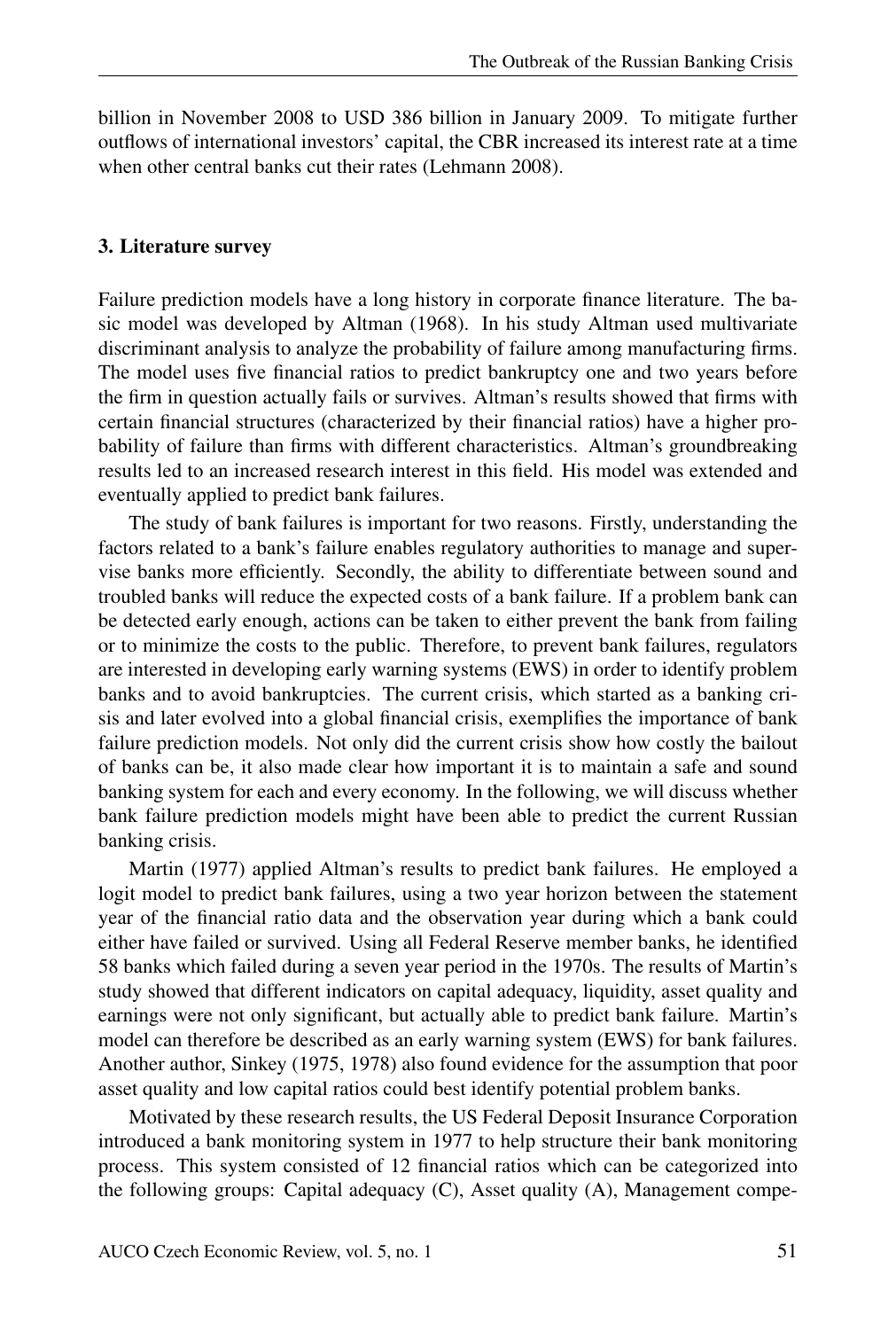billion in November 2008 to USD 386 billion in January 2009. To mitigate further outflows of international investors' capital, the CBR increased its interest rate at a time when other central banks cut their rates (Lehmann 2008).

#### 3. Literature survey

Failure prediction models have a long history in corporate finance literature. The basic model was developed by Altman (1968). In his study Altman used multivariate discriminant analysis to analyze the probability of failure among manufacturing firms. The model uses five financial ratios to predict bankruptcy one and two years before the firm in question actually fails or survives. Altman's results showed that firms with certain financial structures (characterized by their financial ratios) have a higher probability of failure than firms with different characteristics. Altman's groundbreaking results led to an increased research interest in this field. His model was extended and eventually applied to predict bank failures.

The study of bank failures is important for two reasons. Firstly, understanding the factors related to a bank's failure enables regulatory authorities to manage and supervise banks more efficiently. Secondly, the ability to differentiate between sound and troubled banks will reduce the expected costs of a bank failure. If a problem bank can be detected early enough, actions can be taken to either prevent the bank from failing or to minimize the costs to the public. Therefore, to prevent bank failures, regulators are interested in developing early warning systems (EWS) in order to identify problem banks and to avoid bankruptcies. The current crisis, which started as a banking crisis and later evolved into a global financial crisis, exemplifies the importance of bank failure prediction models. Not only did the current crisis show how costly the bailout of banks can be, it also made clear how important it is to maintain a safe and sound banking system for each and every economy. In the following, we will discuss whether bank failure prediction models might have been able to predict the current Russian banking crisis.

Martin (1977) applied Altman's results to predict bank failures. He employed a logit model to predict bank failures, using a two year horizon between the statement year of the financial ratio data and the observation year during which a bank could either have failed or survived. Using all Federal Reserve member banks, he identified 58 banks which failed during a seven year period in the 1970s. The results of Martin's study showed that different indicators on capital adequacy, liquidity, asset quality and earnings were not only significant, but actually able to predict bank failure. Martin's model can therefore be described as an early warning system (EWS) for bank failures. Another author, Sinkey (1975, 1978) also found evidence for the assumption that poor asset quality and low capital ratios could best identify potential problem banks.

Motivated by these research results, the US Federal Deposit Insurance Corporation introduced a bank monitoring system in 1977 to help structure their bank monitoring process. This system consisted of 12 financial ratios which can be categorized into the following groups: Capital adequacy (C), Asset quality (A), Management compe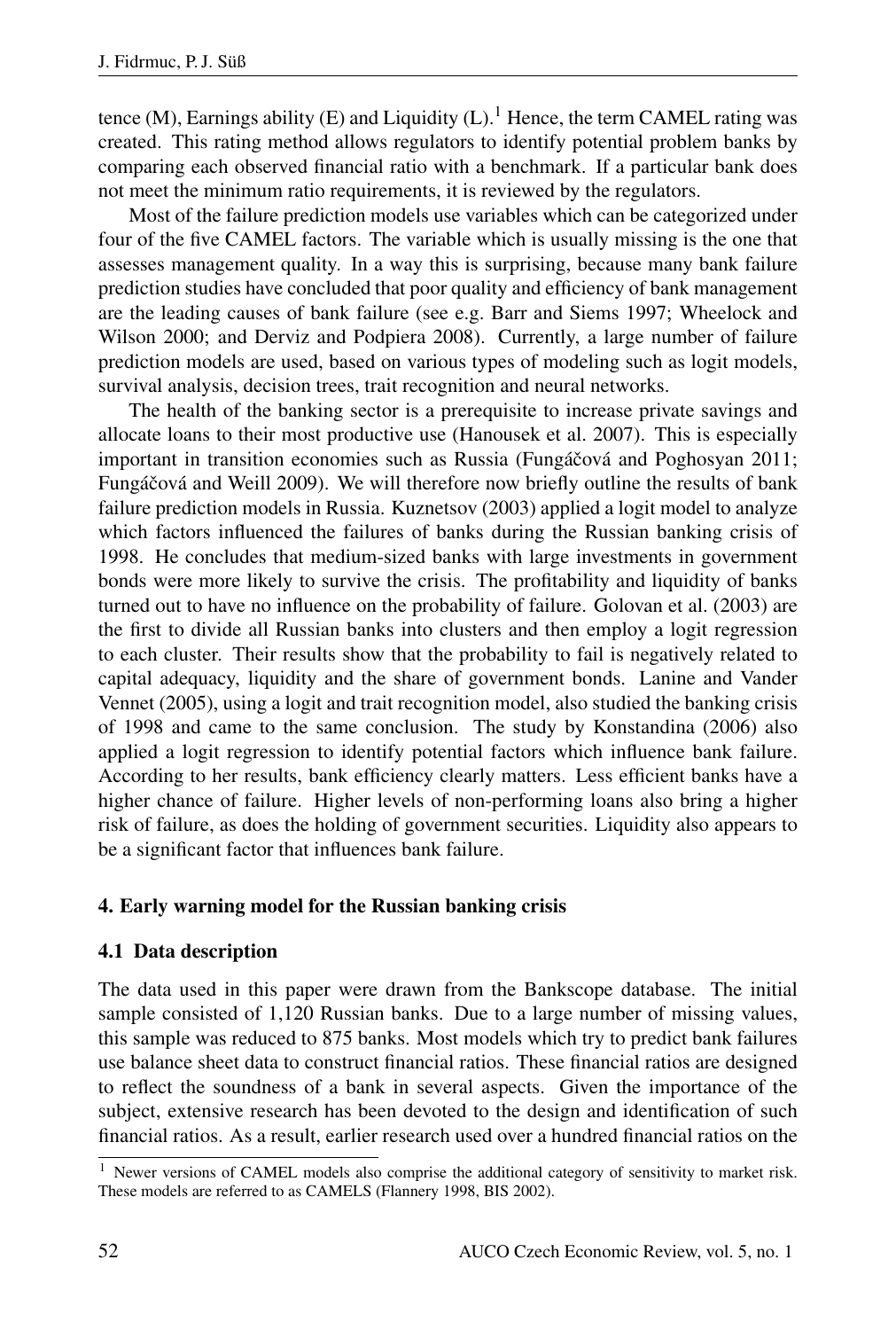tence (M), Earnings ability (E) and Liquidity  $(L)$ .<sup>1</sup> Hence, the term CAMEL rating was created. This rating method allows regulators to identify potential problem banks by comparing each observed financial ratio with a benchmark. If a particular bank does not meet the minimum ratio requirements, it is reviewed by the regulators.

Most of the failure prediction models use variables which can be categorized under four of the five CAMEL factors. The variable which is usually missing is the one that assesses management quality. In a way this is surprising, because many bank failure prediction studies have concluded that poor quality and efficiency of bank management are the leading causes of bank failure (see e.g. Barr and Siems 1997; Wheelock and Wilson 2000; and Derviz and Podpiera 2008). Currently, a large number of failure prediction models are used, based on various types of modeling such as logit models, survival analysis, decision trees, trait recognition and neural networks.

The health of the banking sector is a prerequisite to increase private savings and allocate loans to their most productive use (Hanousek et al. 2007). This is especially important in transition economies such as Russia (Fungáčová and Poghosyan 2011; Fungáčová and Weill 2009). We will therefore now briefly outline the results of bank failure prediction models in Russia. Kuznetsov (2003) applied a logit model to analyze which factors influenced the failures of banks during the Russian banking crisis of 1998. He concludes that medium-sized banks with large investments in government bonds were more likely to survive the crisis. The profitability and liquidity of banks turned out to have no influence on the probability of failure. Golovan et al. (2003) are the first to divide all Russian banks into clusters and then employ a logit regression to each cluster. Their results show that the probability to fail is negatively related to capital adequacy, liquidity and the share of government bonds. Lanine and Vander Vennet (2005), using a logit and trait recognition model, also studied the banking crisis of 1998 and came to the same conclusion. The study by Konstandina (2006) also applied a logit regression to identify potential factors which influence bank failure. According to her results, bank efficiency clearly matters. Less efficient banks have a higher chance of failure. Higher levels of non-performing loans also bring a higher risk of failure, as does the holding of government securities. Liquidity also appears to be a significant factor that influences bank failure.

## 4. Early warning model for the Russian banking crisis

### 4.1 Data description

The data used in this paper were drawn from the Bankscope database. The initial sample consisted of 1,120 Russian banks. Due to a large number of missing values, this sample was reduced to 875 banks. Most models which try to predict bank failures use balance sheet data to construct financial ratios. These financial ratios are designed to reflect the soundness of a bank in several aspects. Given the importance of the subject, extensive research has been devoted to the design and identification of such financial ratios. As a result, earlier research used over a hundred financial ratios on the

 $1$  Newer versions of CAMEL models also comprise the additional category of sensitivity to market risk. These models are referred to as CAMELS (Flannery 1998, BIS 2002).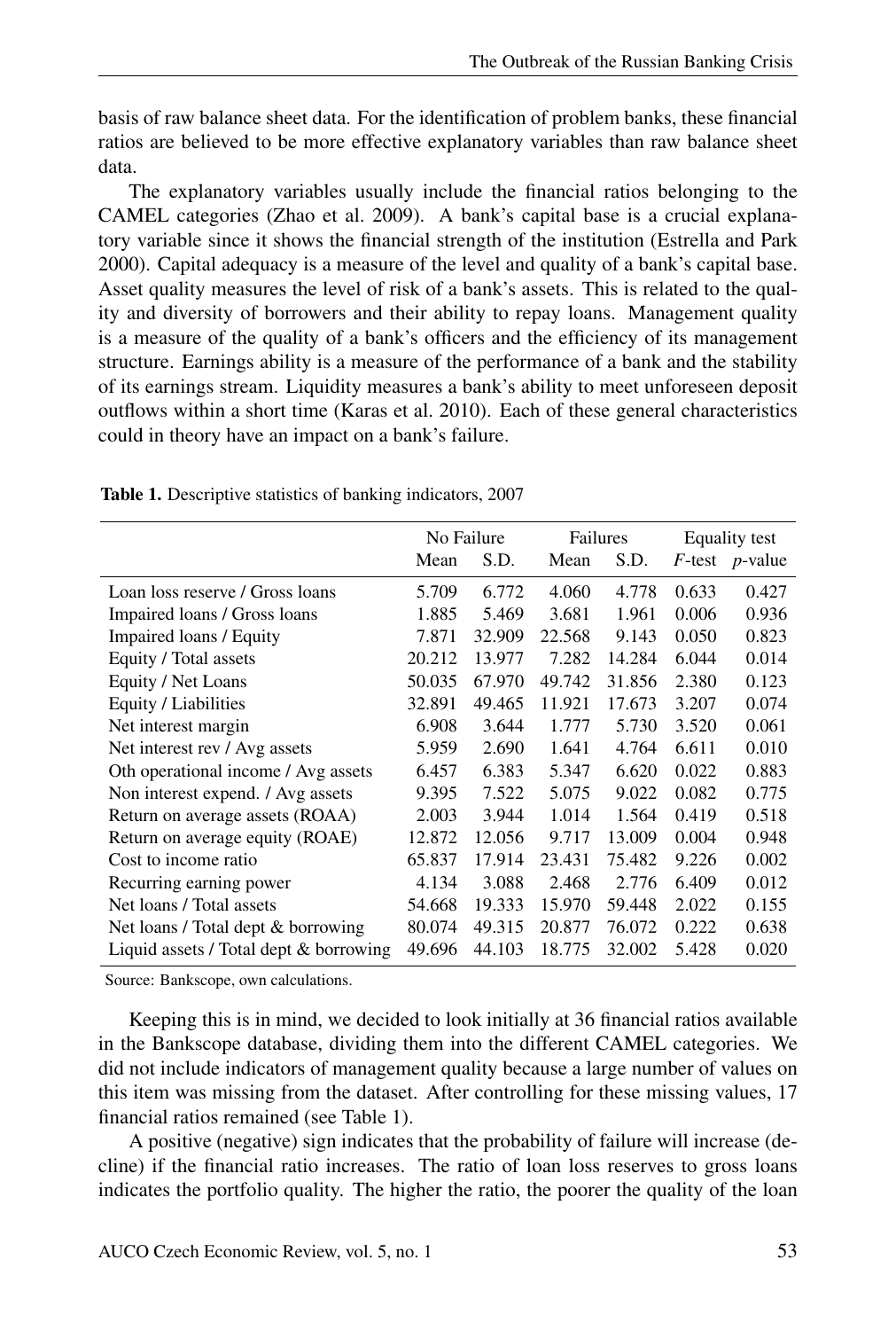basis of raw balance sheet data. For the identification of problem banks, these financial ratios are believed to be more effective explanatory variables than raw balance sheet data.

The explanatory variables usually include the financial ratios belonging to the CAMEL categories (Zhao et al. 2009). A bank's capital base is a crucial explanatory variable since it shows the financial strength of the institution (Estrella and Park 2000). Capital adequacy is a measure of the level and quality of a bank's capital base. Asset quality measures the level of risk of a bank's assets. This is related to the quality and diversity of borrowers and their ability to repay loans. Management quality is a measure of the quality of a bank's officers and the efficiency of its management structure. Earnings ability is a measure of the performance of a bank and the stability of its earnings stream. Liquidity measures a bank's ability to meet unforeseen deposit outflows within a short time (Karas et al. 2010). Each of these general characteristics could in theory have an impact on a bank's failure.

|                                        | No Failure |        | Failures |        | Equality test |                   |
|----------------------------------------|------------|--------|----------|--------|---------------|-------------------|
|                                        | Mean       | S.D.   | Mean     | S.D.   |               | $F$ -test p-value |
| Loan loss reserve / Gross loans        | 5.709      | 6.772  | 4.060    | 4.778  | 0.633         | 0.427             |
| Impaired loans / Gross loans           | 1.885      | 5.469  | 3.681    | 1.961  | 0.006         | 0.936             |
| Impaired loans / Equity                | 7.871      | 32.909 | 22.568   | 9.143  | 0.050         | 0.823             |
| Equity / Total assets                  | 20.212     | 13.977 | 7.282    | 14.284 | 6.044         | 0.014             |
| Equity / Net Loans                     | 50.035     | 67.970 | 49.742   | 31.856 | 2.380         | 0.123             |
| Equity / Liabilities                   | 32.891     | 49.465 | 11.921   | 17.673 | 3.207         | 0.074             |
| Net interest margin                    | 6.908      | 3.644  | 1.777    | 5.730  | 3.520         | 0.061             |
| Net interest rev / Avg assets          | 5.959      | 2.690  | 1.641    | 4.764  | 6.611         | 0.010             |
| Oth operational income / Avg assets    | 6.457      | 6.383  | 5.347    | 6.620  | 0.022         | 0.883             |
| Non interest expend. / Avg assets      | 9.395      | 7.522  | 5.075    | 9.022  | 0.082         | 0.775             |
| Return on average assets (ROAA)        | 2.003      | 3.944  | 1.014    | 1.564  | 0.419         | 0.518             |
| Return on average equity (ROAE)        | 12.872     | 12.056 | 9.717    | 13.009 | 0.004         | 0.948             |
| Cost to income ratio                   | 65.837     | 17.914 | 23.431   | 75.482 | 9.226         | 0.002             |
| Recurring earning power                | 4.134      | 3.088  | 2.468    | 2.776  | 6.409         | 0.012             |
| Net loans / Total assets               | 54.668     | 19.333 | 15.970   | 59.448 | 2.022         | 0.155             |
| Net loans / Total dept & borrowing     | 80.074     | 49.315 | 20.877   | 76.072 | 0.222         | 0.638             |
| Liquid assets / Total dept & borrowing | 49.696     | 44.103 | 18.775   | 32.002 | 5.428         | 0.020             |

Table 1. Descriptive statistics of banking indicators, 2007

Source: Bankscope, own calculations.

Keeping this is in mind, we decided to look initially at 36 financial ratios available in the Bankscope database, dividing them into the different CAMEL categories. We did not include indicators of management quality because a large number of values on this item was missing from the dataset. After controlling for these missing values, 17 financial ratios remained (see Table 1).

A positive (negative) sign indicates that the probability of failure will increase (decline) if the financial ratio increases. The ratio of loan loss reserves to gross loans indicates the portfolio quality. The higher the ratio, the poorer the quality of the loan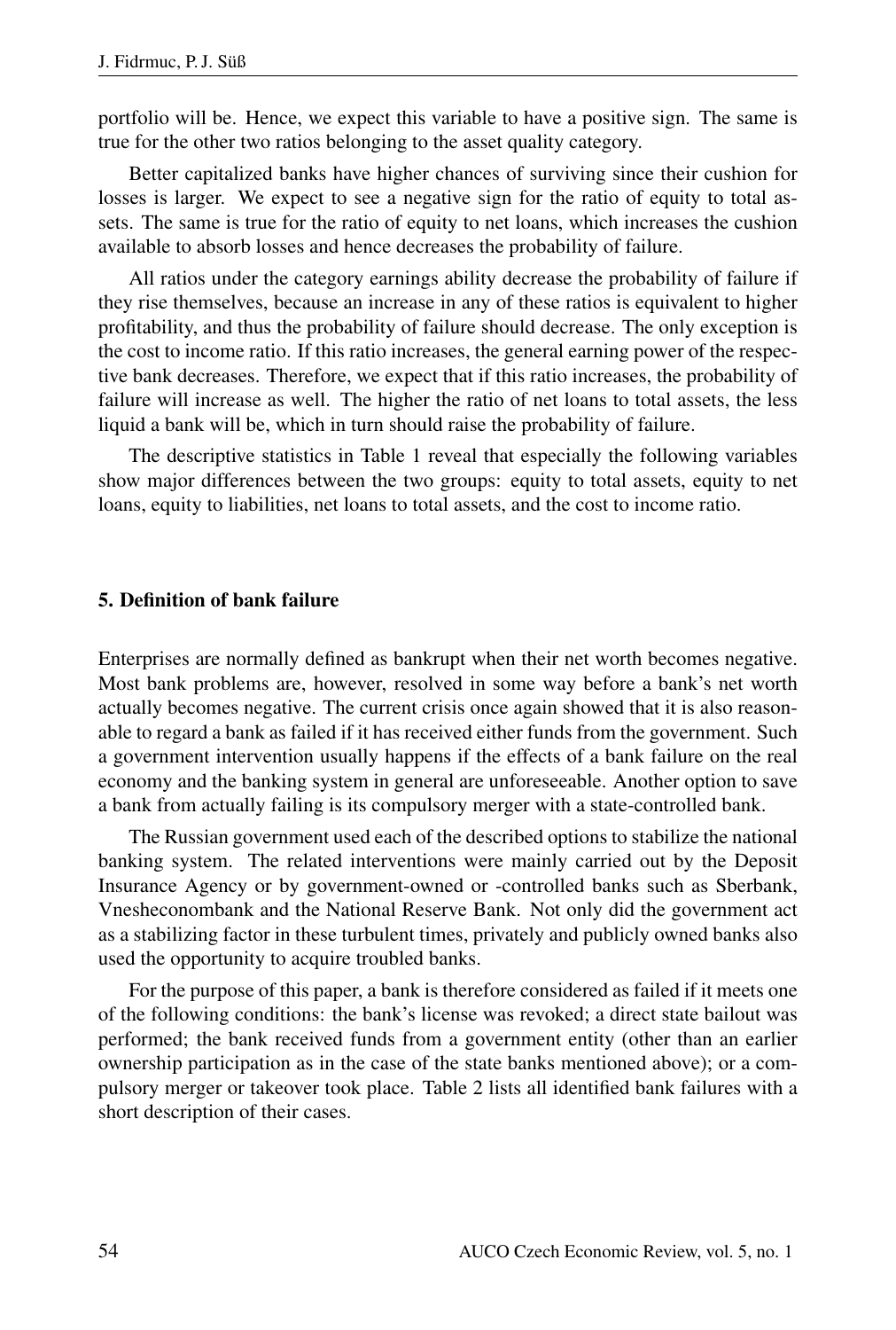portfolio will be. Hence, we expect this variable to have a positive sign. The same is true for the other two ratios belonging to the asset quality category.

Better capitalized banks have higher chances of surviving since their cushion for losses is larger. We expect to see a negative sign for the ratio of equity to total assets. The same is true for the ratio of equity to net loans, which increases the cushion available to absorb losses and hence decreases the probability of failure.

All ratios under the category earnings ability decrease the probability of failure if they rise themselves, because an increase in any of these ratios is equivalent to higher profitability, and thus the probability of failure should decrease. The only exception is the cost to income ratio. If this ratio increases, the general earning power of the respective bank decreases. Therefore, we expect that if this ratio increases, the probability of failure will increase as well. The higher the ratio of net loans to total assets, the less liquid a bank will be, which in turn should raise the probability of failure.

The descriptive statistics in Table 1 reveal that especially the following variables show major differences between the two groups: equity to total assets, equity to net loans, equity to liabilities, net loans to total assets, and the cost to income ratio.

#### 5. Definition of bank failure

Enterprises are normally defined as bankrupt when their net worth becomes negative. Most bank problems are, however, resolved in some way before a bank's net worth actually becomes negative. The current crisis once again showed that it is also reasonable to regard a bank as failed if it has received either funds from the government. Such a government intervention usually happens if the effects of a bank failure on the real economy and the banking system in general are unforeseeable. Another option to save a bank from actually failing is its compulsory merger with a state-controlled bank.

The Russian government used each of the described options to stabilize the national banking system. The related interventions were mainly carried out by the Deposit Insurance Agency or by government-owned or -controlled banks such as Sberbank, Vnesheconombank and the National Reserve Bank. Not only did the government act as a stabilizing factor in these turbulent times, privately and publicly owned banks also used the opportunity to acquire troubled banks.

For the purpose of this paper, a bank is therefore considered as failed if it meets one of the following conditions: the bank's license was revoked; a direct state bailout was performed; the bank received funds from a government entity (other than an earlier ownership participation as in the case of the state banks mentioned above); or a compulsory merger or takeover took place. Table 2 lists all identified bank failures with a short description of their cases.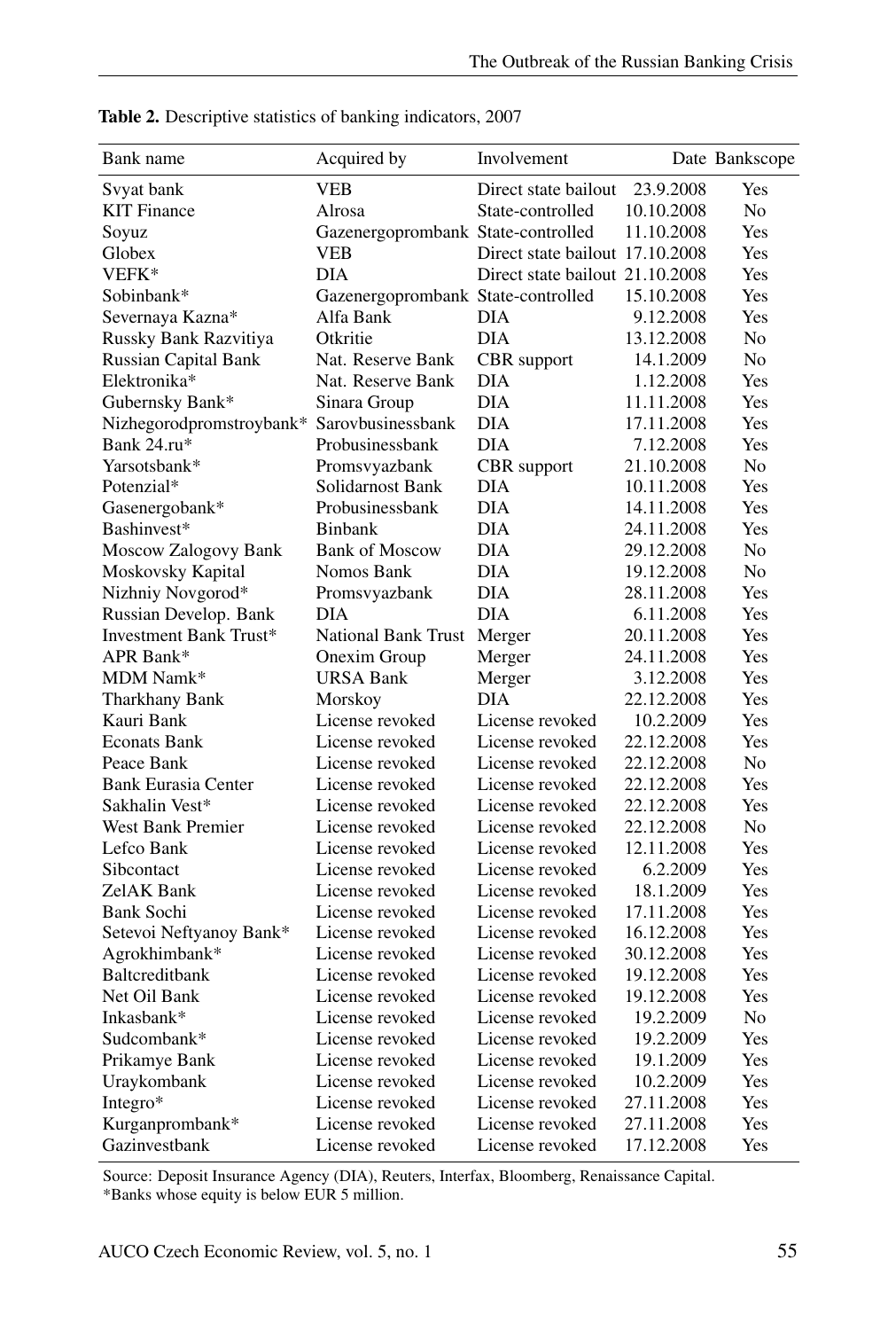| Bank name                                  | Acquired by                        | Involvement                     |            | Date Bankscope |
|--------------------------------------------|------------------------------------|---------------------------------|------------|----------------|
| Svyat bank                                 | VEB                                | Direct state bailout            | 23.9.2008  | Yes            |
| <b>KIT Finance</b>                         | Alrosa                             | State-controlled                | 10.10.2008 | No             |
| Soyuz                                      | Gazenergoprombank State-controlled |                                 | 11.10.2008 | Yes            |
| Globex                                     | VEB                                | Direct state bailout 17.10.2008 |            | Yes            |
| VEFK*                                      | DIA                                | Direct state bailout 21.10.2008 |            | Yes            |
| Sobinbank*                                 | Gazenergoprombank State-controlled |                                 | 15.10.2008 | Yes            |
| Severnaya Kazna*                           | Alfa Bank                          | <b>DIA</b>                      | 9.12.2008  | Yes            |
| Russky Bank Razvitiya                      | Otkritie                           | <b>DIA</b>                      | 13.12.2008 | No             |
| <b>Russian Capital Bank</b>                | Nat. Reserve Bank                  | CBR support                     | 14.1.2009  | N <sub>0</sub> |
| Elektronika*                               | Nat. Reserve Bank                  | DIA                             | 1.12.2008  | Yes            |
| Gubernsky Bank*                            | Sinara Group                       | <b>DIA</b>                      | 11.11.2008 | Yes            |
| Nizhegorodpromstroybank* Sarovbusinessbank |                                    | <b>DIA</b>                      | 17.11.2008 | Yes            |
| Bank 24.ru*                                | Probusinessbank                    | <b>DIA</b>                      | 7.12.2008  | Yes            |
| Yarsotsbank*                               | Promsvyazbank                      | CBR support                     | 21.10.2008 | No             |
| Potenzial*                                 | Solidarnost Bank                   | DIA                             | 10.11.2008 | Yes            |
| Gasenergobank*                             | Probusinessbank                    | <b>DIA</b>                      | 14.11.2008 | Yes            |
| Bashinvest*                                | <b>Binbank</b>                     | <b>DIA</b>                      | 24.11.2008 | Yes            |
| Moscow Zalogovy Bank                       | <b>Bank of Moscow</b>              | <b>DIA</b>                      | 29.12.2008 | N <sub>0</sub> |
| Moskovsky Kapital                          | Nomos Bank                         | DIA                             | 19.12.2008 | No             |
| Nizhniy Novgorod*                          | Promsvyazbank                      | DIA                             | 28.11.2008 | Yes            |
| Russian Develop. Bank                      | DIA                                | <b>DIA</b>                      | 6.11.2008  | Yes            |
| <b>Investment Bank Trust*</b>              | National Bank Trust Merger         |                                 | 20.11.2008 | Yes            |
| APR Bank*                                  | Onexim Group                       | Merger                          | 24.11.2008 | Yes            |
| MDM Namk*                                  | <b>URSA Bank</b>                   | Merger                          | 3.12.2008  | Yes            |
| Tharkhany Bank                             | Morskoy                            | <b>DIA</b>                      | 22.12.2008 | Yes            |
| Kauri Bank                                 | License revoked                    | License revoked                 | 10.2.2009  | Yes            |
| <b>Econats Bank</b>                        | License revoked                    | License revoked                 | 22.12.2008 | Yes            |
| Peace Bank                                 | License revoked                    | License revoked                 | 22.12.2008 | N <sub>0</sub> |
| <b>Bank Eurasia Center</b>                 | License revoked                    | License revoked                 | 22.12.2008 | Yes            |
| Sakhalin Vest*                             | License revoked                    | License revoked                 | 22.12.2008 | Yes            |
| <b>West Bank Premier</b>                   | License revoked                    | License revoked                 | 22.12.2008 | No             |
| Lefco Bank                                 | License revoked                    | License revoked                 | 12.11.2008 | Yes            |
| Sibcontact                                 | License revoked                    | License revoked                 | 6.2.2009   | Yes            |
| ZelAK Bank                                 | License revoked                    | License revoked                 | 18.1.2009  | Yes            |
| <b>Bank Sochi</b>                          | License revoked                    | License revoked                 | 17.11.2008 | Yes            |
| Setevoi Neftyanoy Bank*                    | License revoked                    | License revoked                 | 16.12.2008 | Yes            |
| Agrokhimbank*                              | License revoked                    | License revoked                 | 30.12.2008 | Yes            |
| Baltcreditbank                             | License revoked                    | License revoked                 | 19.12.2008 | Yes            |
| Net Oil Bank                               | License revoked                    | License revoked                 | 19.12.2008 | Yes            |
| Inkasbank*                                 | License revoked                    | License revoked                 | 19.2.2009  | No             |
| Sudcombank*                                | License revoked                    | License revoked                 | 19.2.2009  | Yes            |
| Prikamye Bank                              | License revoked                    | License revoked                 | 19.1.2009  | Yes            |
| Uraykombank                                | License revoked                    | License revoked                 | 10.2.2009  | Yes            |
| Integro*                                   | License revoked                    | License revoked                 | 27.11.2008 | Yes            |
| Kurganprombank*                            | License revoked                    | License revoked                 | 27.11.2008 | Yes            |
| Gazinvestbank                              | License revoked                    | License revoked                 | 17.12.2008 | Yes            |

Table 2. Descriptive statistics of banking indicators, 2007

Source: Deposit Insurance Agency (DIA), Reuters, Interfax, Bloomberg, Renaissance Capital.

\*Banks whose equity is below EUR 5 million.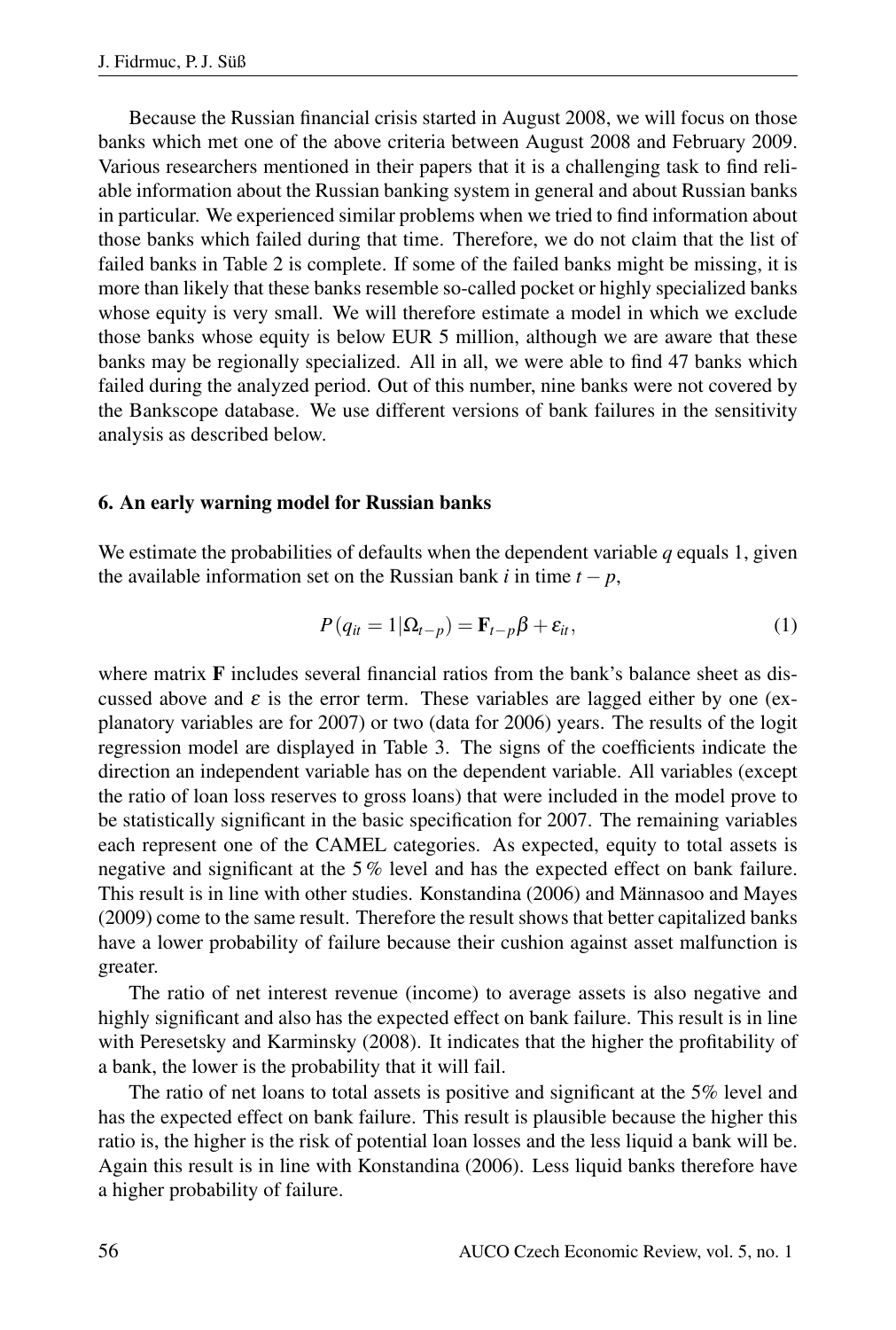Because the Russian financial crisis started in August 2008, we will focus on those banks which met one of the above criteria between August 2008 and February 2009. Various researchers mentioned in their papers that it is a challenging task to find reliable information about the Russian banking system in general and about Russian banks in particular. We experienced similar problems when we tried to find information about those banks which failed during that time. Therefore, we do not claim that the list of failed banks in Table 2 is complete. If some of the failed banks might be missing, it is more than likely that these banks resemble so-called pocket or highly specialized banks whose equity is very small. We will therefore estimate a model in which we exclude those banks whose equity is below EUR 5 million, although we are aware that these banks may be regionally specialized. All in all, we were able to find 47 banks which failed during the analyzed period. Out of this number, nine banks were not covered by the Bankscope database. We use different versions of bank failures in the sensitivity analysis as described below.

#### 6. An early warning model for Russian banks

We estimate the probabilities of defaults when the dependent variable *q* equals 1, given the available information set on the Russian bank *i* in time  $t - p$ ,

$$
P(q_{it} = 1 | \Omega_{t-p}) = \mathbf{F}_{t-p} \beta + \varepsilon_{it}, \qquad (1)
$$

where matrix  $\bf{F}$  includes several financial ratios from the bank's balance sheet as discussed above and  $\varepsilon$  is the error term. These variables are lagged either by one (explanatory variables are for 2007) or two (data for 2006) years. The results of the logit regression model are displayed in Table 3. The signs of the coefficients indicate the direction an independent variable has on the dependent variable. All variables (except the ratio of loan loss reserves to gross loans) that were included in the model prove to be statistically significant in the basic specification for 2007. The remaining variables each represent one of the CAMEL categories. As expected, equity to total assets is negative and significant at the 5 % level and has the expected effect on bank failure. This result is in line with other studies. Konstandina (2006) and Männasoo and Mayes (2009) come to the same result. Therefore the result shows that better capitalized banks have a lower probability of failure because their cushion against asset malfunction is greater.

The ratio of net interest revenue (income) to average assets is also negative and highly significant and also has the expected effect on bank failure. This result is in line with Peresetsky and Karminsky (2008). It indicates that the higher the profitability of a bank, the lower is the probability that it will fail.

The ratio of net loans to total assets is positive and significant at the 5% level and has the expected effect on bank failure. This result is plausible because the higher this ratio is, the higher is the risk of potential loan losses and the less liquid a bank will be. Again this result is in line with Konstandina (2006). Less liquid banks therefore have a higher probability of failure.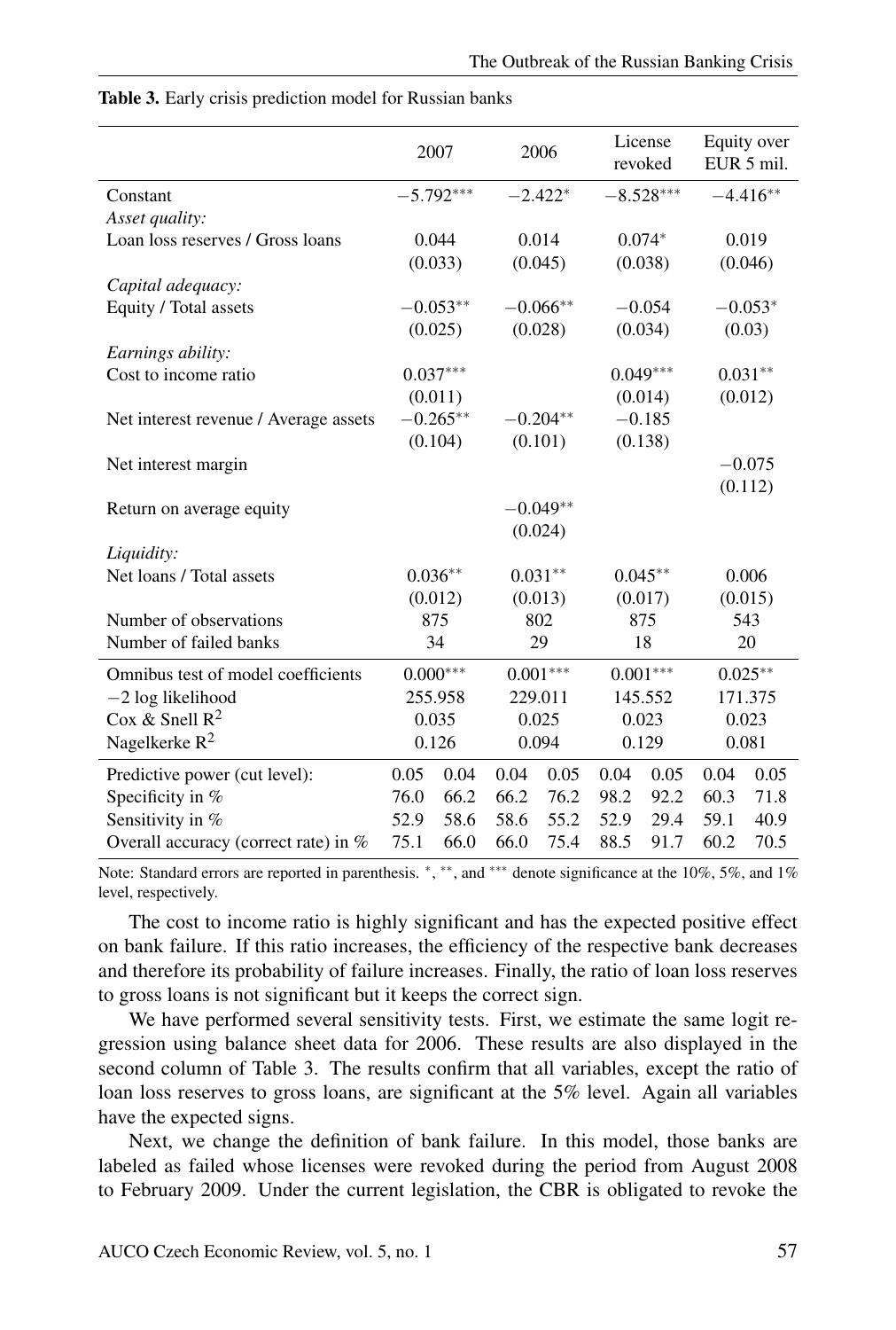|                                       | 2007        |         | 2006       |            | License<br>revoked |          | Equity over<br>EUR 5 mil. |            |
|---------------------------------------|-------------|---------|------------|------------|--------------------|----------|---------------------------|------------|
| Constant                              | $-5.792***$ |         | $-2.422*$  |            | $-8.528***$        |          |                           | $-4.416**$ |
| Asset quality:                        |             |         |            |            |                    |          |                           |            |
| Loan loss reserves / Gross loans      |             | 0.044   |            | 0.014      |                    | $0.074*$ |                           | 0.019      |
|                                       | (0.033)     |         | (0.045)    |            | (0.038)            |          | (0.046)                   |            |
| Capital adequacy:                     |             |         |            |            |                    |          |                           |            |
| Equity / Total assets                 | $-0.053**$  |         | $-0.066**$ |            | $-0.054$           |          | $-0.053*$                 |            |
|                                       |             | (0.025) |            | (0.028)    |                    | (0.034)  |                           | (0.03)     |
| Earnings ability:                     |             |         |            |            |                    |          |                           |            |
| Cost to income ratio                  | $0.037***$  |         |            |            | $0.049***$         |          | $0.031**$                 |            |
|                                       |             | (0.011) |            |            |                    | (0.014)  |                           | (0.012)    |
| Net interest revenue / Average assets | $-0.265**$  |         | $-0.204**$ |            | $-0.185$           |          |                           |            |
|                                       |             | (0.104) |            | (0.101)    |                    | (0.138)  |                           |            |
| Net interest margin                   |             |         |            |            |                    |          |                           | $-0.075$   |
|                                       |             |         |            |            |                    |          |                           | (0.112)    |
| Return on average equity              |             |         |            | $-0.049**$ |                    |          |                           |            |
|                                       | (0.024)     |         |            |            |                    |          |                           |            |
| Liquidity:                            |             |         |            |            |                    |          |                           |            |
| Net loans / Total assets              | $0.036**$   |         | $0.031**$  |            | $0.045**$          |          | 0.006                     |            |
|                                       |             | (0.012) | (0.013)    |            | (0.017)            |          | (0.015)                   |            |
| Number of observations                | 875         |         | 802        |            | 875                |          | 543                       |            |
| Number of failed banks                | 34          |         | 29         |            | 18                 |          | 20                        |            |
| Omnibus test of model coefficients    | $0.000***$  |         | $0.001***$ |            | $0.001***$         |          | $0.025**$                 |            |
| $-2$ log likelihood                   | 255.958     |         | 229.011    |            | 145.552            |          | 171.375                   |            |
| Cox & Snell $R^2$                     | 0.035       |         | 0.025      |            | 0.023              |          | 0.023                     |            |
| Nagelkerke $R^2$                      | 0.126       |         | 0.094      |            | 0.129              |          | 0.081                     |            |
| Predictive power (cut level):         | 0.05        | 0.04    | 0.04       | 0.05       | 0.04               | 0.05     | 0.04                      | 0.05       |
| Specificity in %                      | 76.0        | 66.2    | 66.2       | 76.2       | 98.2               | 92.2     | 60.3                      | 71.8       |
| Sensitivity in %                      | 52.9        | 58.6    | 58.6       | 55.2       | 52.9               | 29.4     | 59.1                      | 40.9       |
| Overall accuracy (correct rate) in %  | 75.1        | 66.0    | 66.0       | 75.4       | 88.5               | 91.7     | 60.2                      | 70.5       |

#### Table 3. Early crisis prediction model for Russian banks

Note: Standard errors are reported in parenthesis. \*, \*\*, and \*\*\* denote significance at the 10%, 5%, and 1% level, respectively.

The cost to income ratio is highly significant and has the expected positive effect on bank failure. If this ratio increases, the efficiency of the respective bank decreases and therefore its probability of failure increases. Finally, the ratio of loan loss reserves to gross loans is not significant but it keeps the correct sign.

We have performed several sensitivity tests. First, we estimate the same logit regression using balance sheet data for 2006. These results are also displayed in the second column of Table 3. The results confirm that all variables, except the ratio of loan loss reserves to gross loans, are significant at the 5% level. Again all variables have the expected signs.

Next, we change the definition of bank failure. In this model, those banks are labeled as failed whose licenses were revoked during the period from August 2008 to February 2009. Under the current legislation, the CBR is obligated to revoke the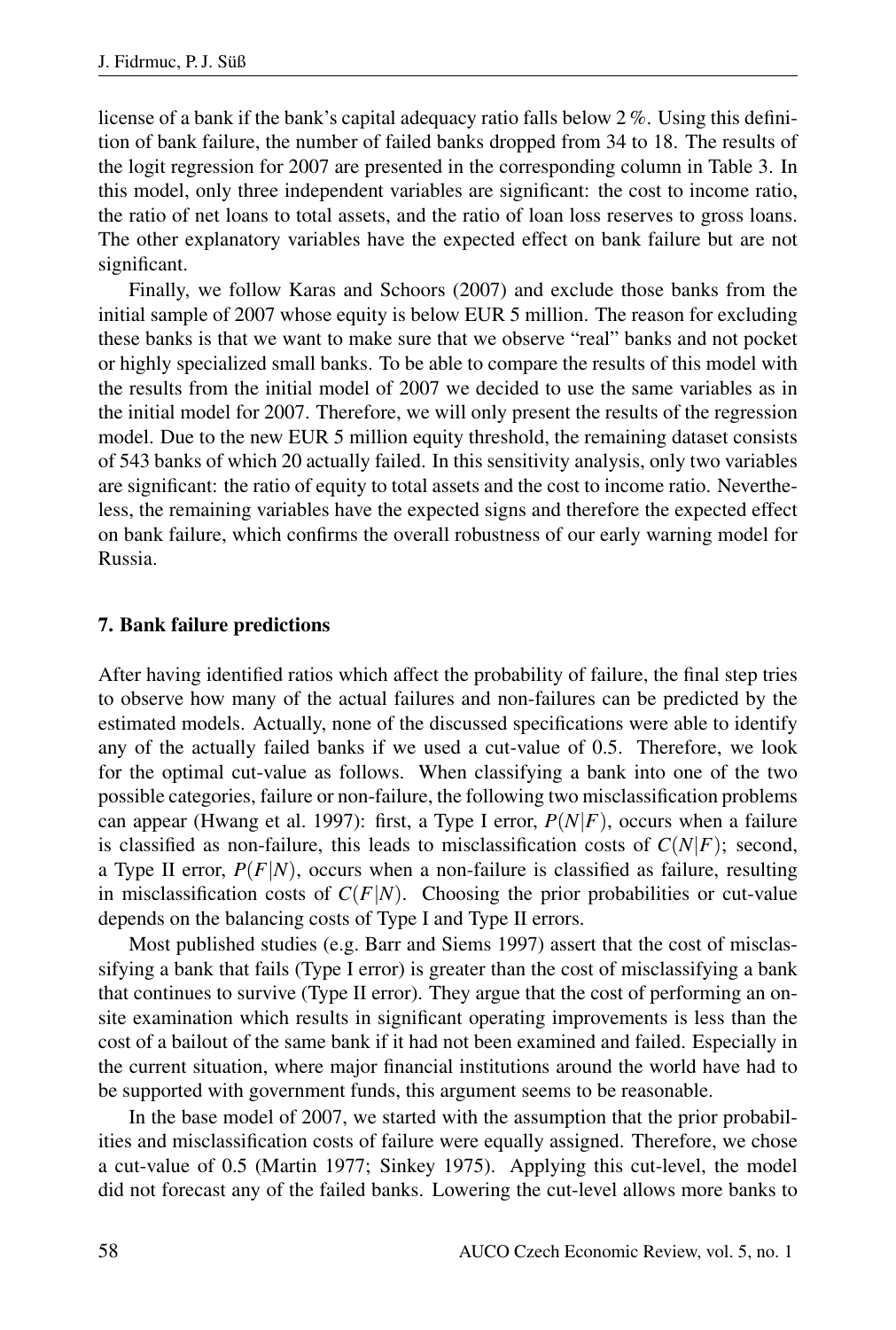license of a bank if the bank's capital adequacy ratio falls below 2 %. Using this definition of bank failure, the number of failed banks dropped from 34 to 18. The results of the logit regression for 2007 are presented in the corresponding column in Table 3. In this model, only three independent variables are significant: the cost to income ratio, the ratio of net loans to total assets, and the ratio of loan loss reserves to gross loans. The other explanatory variables have the expected effect on bank failure but are not significant.

Finally, we follow Karas and Schoors (2007) and exclude those banks from the initial sample of 2007 whose equity is below EUR 5 million. The reason for excluding these banks is that we want to make sure that we observe "real" banks and not pocket or highly specialized small banks. To be able to compare the results of this model with the results from the initial model of 2007 we decided to use the same variables as in the initial model for 2007. Therefore, we will only present the results of the regression model. Due to the new EUR 5 million equity threshold, the remaining dataset consists of 543 banks of which 20 actually failed. In this sensitivity analysis, only two variables are significant: the ratio of equity to total assets and the cost to income ratio. Nevertheless, the remaining variables have the expected signs and therefore the expected effect on bank failure, which confirms the overall robustness of our early warning model for Russia.

#### 7. Bank failure predictions

After having identified ratios which affect the probability of failure, the final step tries to observe how many of the actual failures and non-failures can be predicted by the estimated models. Actually, none of the discussed specifications were able to identify any of the actually failed banks if we used a cut-value of 0.5. Therefore, we look for the optimal cut-value as follows. When classifying a bank into one of the two possible categories, failure or non-failure, the following two misclassification problems can appear (Hwang et al. 1997): first, a Type I error, *P*(*N*|*F*), occurs when a failure is classified as non-failure, this leads to misclassification costs of  $C(N|F)$ ; second, a Type II error,  $P(F|N)$ , occurs when a non-failure is classified as failure, resulting in misclassification costs of  $C(F|N)$ . Choosing the prior probabilities or cut-value depends on the balancing costs of Type I and Type II errors.

Most published studies (e.g. Barr and Siems 1997) assert that the cost of misclassifying a bank that fails (Type I error) is greater than the cost of misclassifying a bank that continues to survive (Type II error). They argue that the cost of performing an onsite examination which results in significant operating improvements is less than the cost of a bailout of the same bank if it had not been examined and failed. Especially in the current situation, where major financial institutions around the world have had to be supported with government funds, this argument seems to be reasonable.

In the base model of 2007, we started with the assumption that the prior probabilities and misclassification costs of failure were equally assigned. Therefore, we chose a cut-value of 0.5 (Martin 1977; Sinkey 1975). Applying this cut-level, the model did not forecast any of the failed banks. Lowering the cut-level allows more banks to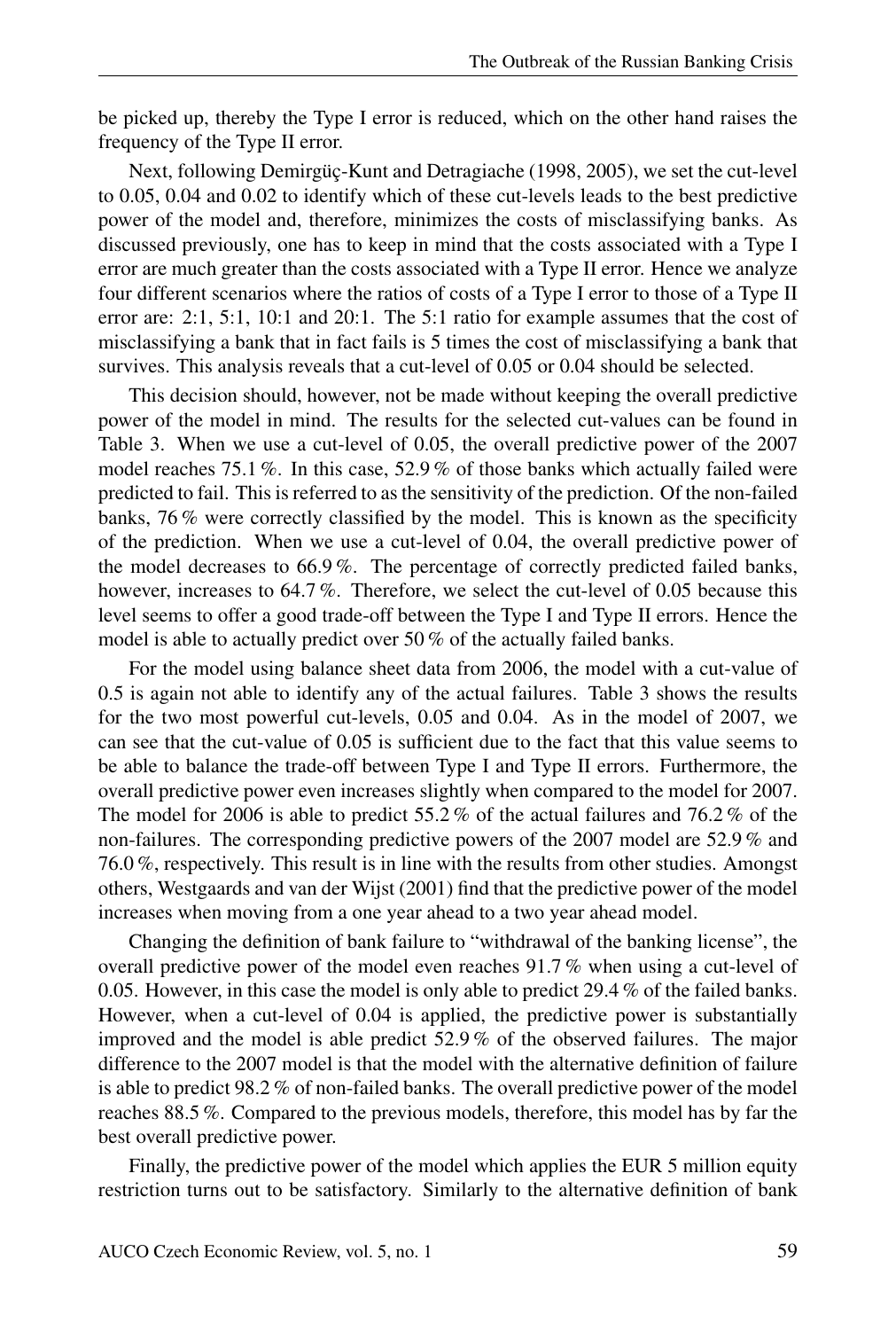be picked up, thereby the Type I error is reduced, which on the other hand raises the frequency of the Type II error.

Next, following Demirgüç-Kunt and Detragiache (1998, 2005), we set the cut-level to 0.05, 0.04 and 0.02 to identify which of these cut-levels leads to the best predictive power of the model and, therefore, minimizes the costs of misclassifying banks. As discussed previously, one has to keep in mind that the costs associated with a Type I error are much greater than the costs associated with a Type II error. Hence we analyze four different scenarios where the ratios of costs of a Type I error to those of a Type II error are: 2:1, 5:1, 10:1 and 20:1. The 5:1 ratio for example assumes that the cost of misclassifying a bank that in fact fails is 5 times the cost of misclassifying a bank that survives. This analysis reveals that a cut-level of 0.05 or 0.04 should be selected.

This decision should, however, not be made without keeping the overall predictive power of the model in mind. The results for the selected cut-values can be found in Table 3. When we use a cut-level of 0.05, the overall predictive power of the 2007 model reaches 75.1 %. In this case, 52.9 % of those banks which actually failed were predicted to fail. This is referred to as the sensitivity of the prediction. Of the non-failed banks, 76 % were correctly classified by the model. This is known as the specificity of the prediction. When we use a cut-level of 0.04, the overall predictive power of the model decreases to 66.9 %. The percentage of correctly predicted failed banks, however, increases to 64.7 %. Therefore, we select the cut-level of 0.05 because this level seems to offer a good trade-off between the Type I and Type II errors. Hence the model is able to actually predict over 50 % of the actually failed banks.

For the model using balance sheet data from 2006, the model with a cut-value of 0.5 is again not able to identify any of the actual failures. Table 3 shows the results for the two most powerful cut-levels, 0.05 and 0.04. As in the model of 2007, we can see that the cut-value of 0.05 is sufficient due to the fact that this value seems to be able to balance the trade-off between Type I and Type II errors. Furthermore, the overall predictive power even increases slightly when compared to the model for 2007. The model for 2006 is able to predict 55.2 % of the actual failures and 76.2 % of the non-failures. The corresponding predictive powers of the 2007 model are 52.9 % and 76.0 %, respectively. This result is in line with the results from other studies. Amongst others, Westgaards and van der Wijst (2001) find that the predictive power of the model increases when moving from a one year ahead to a two year ahead model.

Changing the definition of bank failure to "withdrawal of the banking license", the overall predictive power of the model even reaches 91.7 % when using a cut-level of 0.05. However, in this case the model is only able to predict 29.4 % of the failed banks. However, when a cut-level of 0.04 is applied, the predictive power is substantially improved and the model is able predict 52.9 % of the observed failures. The major difference to the 2007 model is that the model with the alternative definition of failure is able to predict 98.2 % of non-failed banks. The overall predictive power of the model reaches 88.5 %. Compared to the previous models, therefore, this model has by far the best overall predictive power.

Finally, the predictive power of the model which applies the EUR 5 million equity restriction turns out to be satisfactory. Similarly to the alternative definition of bank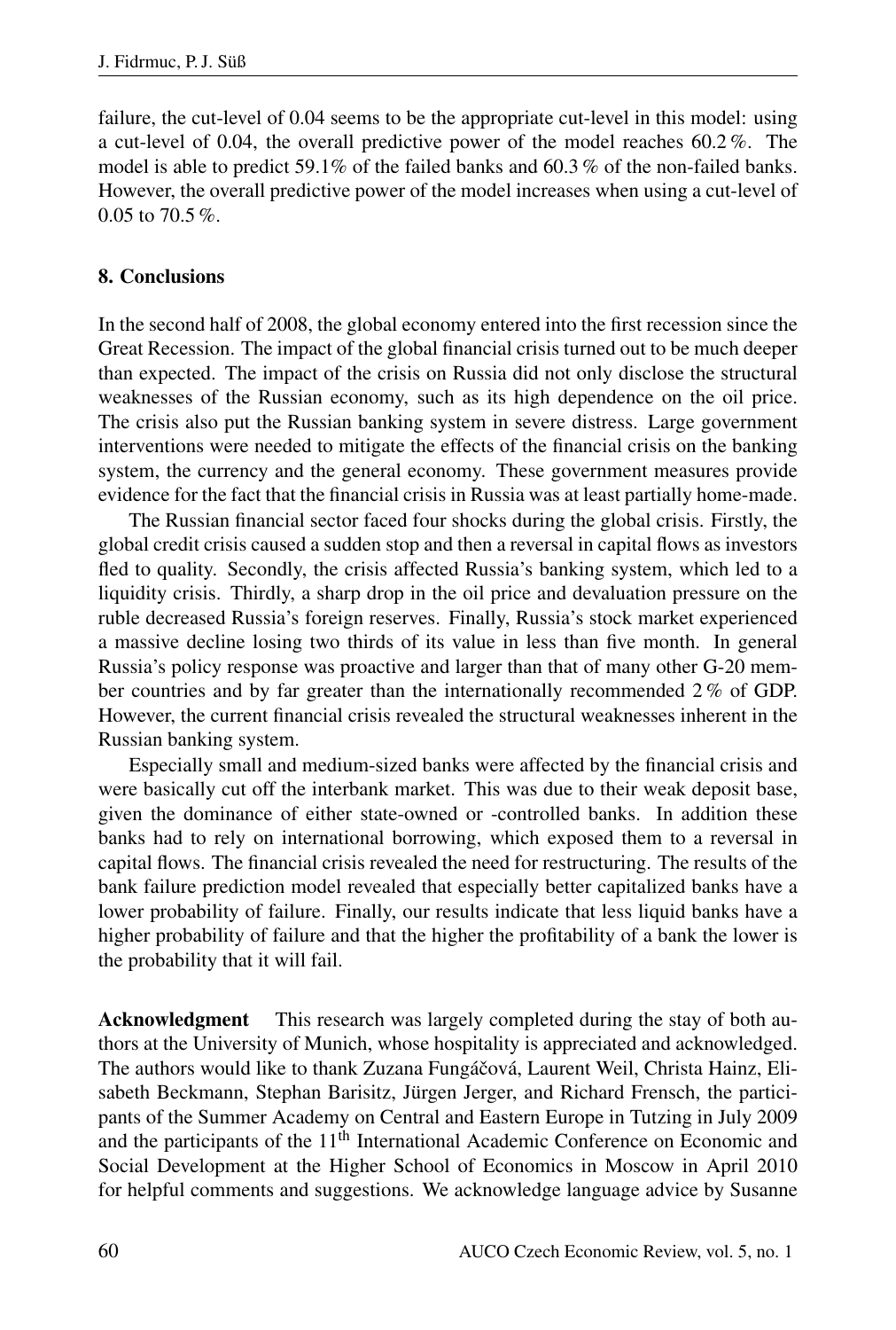failure, the cut-level of 0.04 seems to be the appropriate cut-level in this model: using a cut-level of 0.04, the overall predictive power of the model reaches 60.2 %. The model is able to predict 59.1% of the failed banks and 60.3 % of the non-failed banks. However, the overall predictive power of the model increases when using a cut-level of 0.05 to 70.5 %.

#### 8. Conclusions

In the second half of 2008, the global economy entered into the first recession since the Great Recession. The impact of the global financial crisis turned out to be much deeper than expected. The impact of the crisis on Russia did not only disclose the structural weaknesses of the Russian economy, such as its high dependence on the oil price. The crisis also put the Russian banking system in severe distress. Large government interventions were needed to mitigate the effects of the financial crisis on the banking system, the currency and the general economy. These government measures provide evidence for the fact that the financial crisis in Russia was at least partially home-made.

The Russian financial sector faced four shocks during the global crisis. Firstly, the global credit crisis caused a sudden stop and then a reversal in capital flows as investors fled to quality. Secondly, the crisis affected Russia's banking system, which led to a liquidity crisis. Thirdly, a sharp drop in the oil price and devaluation pressure on the ruble decreased Russia's foreign reserves. Finally, Russia's stock market experienced a massive decline losing two thirds of its value in less than five month. In general Russia's policy response was proactive and larger than that of many other G-20 member countries and by far greater than the internationally recommended 2 % of GDP. However, the current financial crisis revealed the structural weaknesses inherent in the Russian banking system.

Especially small and medium-sized banks were affected by the financial crisis and were basically cut off the interbank market. This was due to their weak deposit base, given the dominance of either state-owned or -controlled banks. In addition these banks had to rely on international borrowing, which exposed them to a reversal in capital flows. The financial crisis revealed the need for restructuring. The results of the bank failure prediction model revealed that especially better capitalized banks have a lower probability of failure. Finally, our results indicate that less liquid banks have a higher probability of failure and that the higher the profitability of a bank the lower is the probability that it will fail.

Acknowledgment This research was largely completed during the stay of both authors at the University of Munich, whose hospitality is appreciated and acknowledged. The authors would like to thank Zuzana Fungáčová, Laurent Weil, Christa Hainz, Elisabeth Beckmann, Stephan Barisitz, Jürgen Jerger, and Richard Frensch, the participants of the Summer Academy on Central and Eastern Europe in Tutzing in July 2009 and the participants of the 11<sup>th</sup> International Academic Conference on Economic and Social Development at the Higher School of Economics in Moscow in April 2010 for helpful comments and suggestions. We acknowledge language advice by Susanne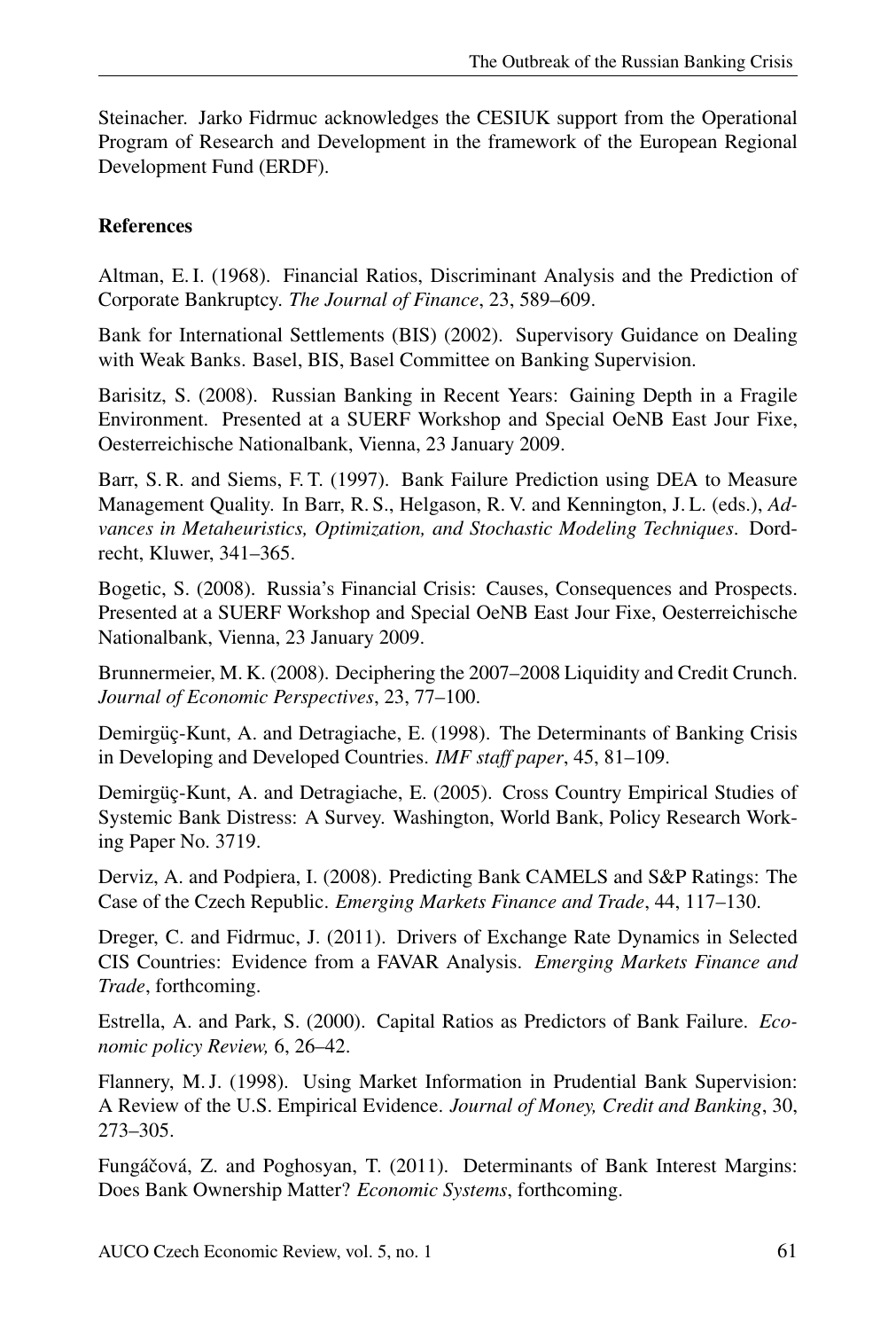Steinacher. Jarko Fidrmuc acknowledges the CESIUK support from the Operational Program of Research and Development in the framework of the European Regional Development Fund (ERDF).

## References

Altman, E. I. (1968). Financial Ratios, Discriminant Analysis and the Prediction of Corporate Bankruptcy. *The Journal of Finance*, 23, 589–609.

Bank for International Settlements (BIS) (2002). Supervisory Guidance on Dealing with Weak Banks. Basel, BIS, Basel Committee on Banking Supervision.

Barisitz, S. (2008). Russian Banking in Recent Years: Gaining Depth in a Fragile Environment. Presented at a SUERF Workshop and Special OeNB East Jour Fixe, Oesterreichische Nationalbank, Vienna, 23 January 2009.

Barr, S. R. and Siems, F. T. (1997). Bank Failure Prediction using DEA to Measure Management Quality. In Barr, R. S., Helgason, R. V. and Kennington, J. L. (eds.), *Advances in Metaheuristics, Optimization, and Stochastic Modeling Techniques*. Dordrecht, Kluwer, 341–365.

Bogetic, S. (2008). Russia's Financial Crisis: Causes, Consequences and Prospects. Presented at a SUERF Workshop and Special OeNB East Jour Fixe, Oesterreichische Nationalbank, Vienna, 23 January 2009.

Brunnermeier, M. K. (2008). Deciphering the 2007–2008 Liquidity and Credit Crunch. *Journal of Economic Perspectives*, 23, 77–100.

Demirgüç-Kunt, A. and Detragiache, E. (1998). The Determinants of Banking Crisis in Developing and Developed Countries. *IMF staff paper*, 45, 81–109.

Demirgüç-Kunt, A. and Detragiache, E. (2005). Cross Country Empirical Studies of Systemic Bank Distress: A Survey. Washington, World Bank, Policy Research Working Paper No. 3719.

Derviz, A. and Podpiera, I. (2008). Predicting Bank CAMELS and S&P Ratings: The Case of the Czech Republic. *Emerging Markets Finance and Trade*, 44, 117–130.

Dreger, C. and Fidrmuc, J. (2011). Drivers of Exchange Rate Dynamics in Selected CIS Countries: Evidence from a FAVAR Analysis. *Emerging Markets Finance and Trade*, forthcoming.

Estrella, A. and Park, S. (2000). Capital Ratios as Predictors of Bank Failure. *Economic policy Review,* 6, 26–42.

Flannery, M. J. (1998). Using Market Information in Prudential Bank Supervision: A Review of the U.S. Empirical Evidence. *Journal of Money, Credit and Banking*, 30, 273–305.

Fungáčová, Z. and Poghosyan, T. (2011). Determinants of Bank Interest Margins: Does Bank Ownership Matter? *Economic Systems*, forthcoming.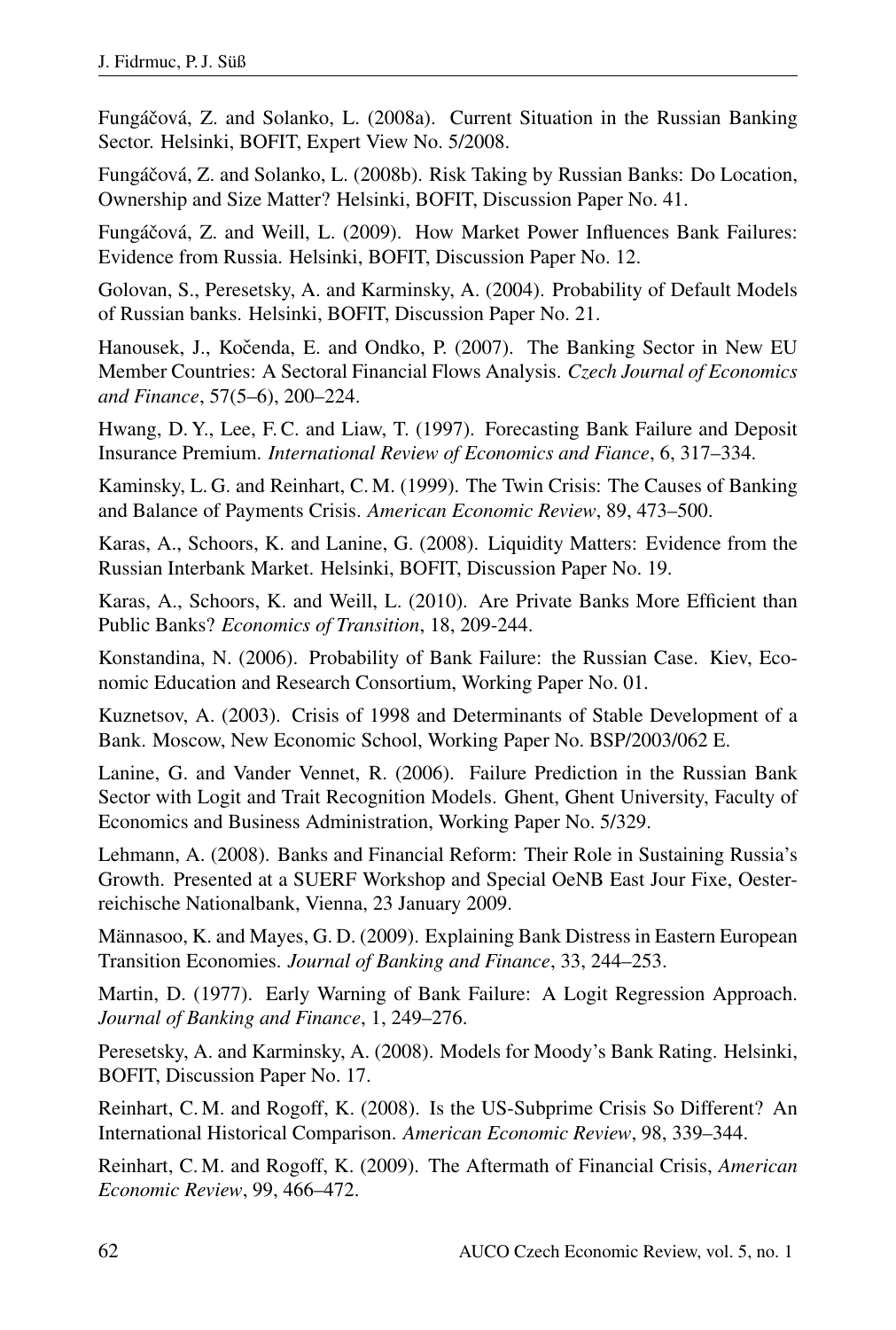Fungáčová, Z. and Solanko, L. (2008a). Current Situation in the Russian Banking Sector. Helsinki, BOFIT, Expert View No. 5/2008.

Fungáčová, Z. and Solanko, L. (2008b). Risk Taking by Russian Banks: Do Location, Ownership and Size Matter? Helsinki, BOFIT, Discussion Paper No. 41.

Fungáčová, Z. and Weill, L. (2009). How Market Power Influences Bank Failures: Evidence from Russia. Helsinki, BOFIT, Discussion Paper No. 12.

Golovan, S., Peresetsky, A. and Karminsky, A. (2004). Probability of Default Models of Russian banks. Helsinki, BOFIT, Discussion Paper No. 21.

Hanousek, J., Kočenda, E. and Ondko, P. (2007). The Banking Sector in New EU Member Countries: A Sectoral Financial Flows Analysis. *Czech Journal of Economics and Finance*, 57(5–6), 200–224.

Hwang, D. Y., Lee, F. C. and Liaw, T. (1997). Forecasting Bank Failure and Deposit Insurance Premium. *International Review of Economics and Fiance*, 6, 317–334.

Kaminsky, L. G. and Reinhart, C. M. (1999). The Twin Crisis: The Causes of Banking and Balance of Payments Crisis. *American Economic Review*, 89, 473–500.

Karas, A., Schoors, K. and Lanine, G. (2008). Liquidity Matters: Evidence from the Russian Interbank Market. Helsinki, BOFIT, Discussion Paper No. 19.

Karas, A., Schoors, K. and Weill, L. (2010). Are Private Banks More Efficient than Public Banks? *Economics of Transition*, 18, 209-244.

Konstandina, N. (2006). Probability of Bank Failure: the Russian Case. Kiev, Economic Education and Research Consortium, Working Paper No. 01.

Kuznetsov, A. (2003). Crisis of 1998 and Determinants of Stable Development of a Bank. Moscow, New Economic School, Working Paper No. BSP/2003/062 E.

Lanine, G. and Vander Vennet, R. (2006). Failure Prediction in the Russian Bank Sector with Logit and Trait Recognition Models. Ghent, Ghent University, Faculty of Economics and Business Administration, Working Paper No. 5/329.

Lehmann, A. (2008). Banks and Financial Reform: Their Role in Sustaining Russia's Growth. Presented at a SUERF Workshop and Special OeNB East Jour Fixe, Oesterreichische Nationalbank, Vienna, 23 January 2009.

Männasoo, K. and Mayes, G. D. (2009). Explaining Bank Distress in Eastern European Transition Economies. *Journal of Banking and Finance*, 33, 244–253.

Martin, D. (1977). Early Warning of Bank Failure: A Logit Regression Approach. *Journal of Banking and Finance*, 1, 249–276.

Peresetsky, A. and Karminsky, A. (2008). Models for Moody's Bank Rating. Helsinki, BOFIT, Discussion Paper No. 17.

Reinhart, C. M. and Rogoff, K. (2008). Is the US-Subprime Crisis So Different? An International Historical Comparison. *American Economic Review*, 98, 339–344.

Reinhart, C. M. and Rogoff, K. (2009). The Aftermath of Financial Crisis, *American Economic Review*, 99, 466–472.